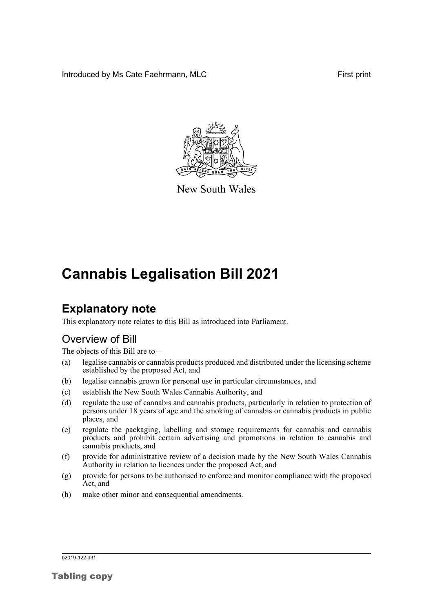Introduced by Ms Cate Faehrmann, MLC **First print** First print



New South Wales

# **Cannabis Legalisation Bill 2021**

## **Explanatory note**

This explanatory note relates to this Bill as introduced into Parliament.

## Overview of Bill

The objects of this Bill are to—

- (a) legalise cannabis or cannabis products produced and distributed under the licensing scheme established by the proposed Act, and
- (b) legalise cannabis grown for personal use in particular circumstances, and
- (c) establish the New South Wales Cannabis Authority, and
- (d) regulate the use of cannabis and cannabis products, particularly in relation to protection of persons under 18 years of age and the smoking of cannabis or cannabis products in public places, and
- (e) regulate the packaging, labelling and storage requirements for cannabis and cannabis products and prohibit certain advertising and promotions in relation to cannabis and cannabis products, and
- (f) provide for administrative review of a decision made by the New South Wales Cannabis Authority in relation to licences under the proposed Act, and
- (g) provide for persons to be authorised to enforce and monitor compliance with the proposed Act, and
- (h) make other minor and consequential amendments.

b2019-122.d31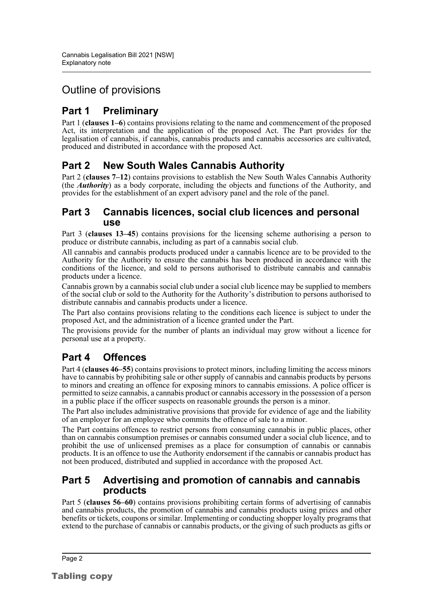## Outline of provisions

## **Part 1 Preliminary**

Part 1 (**clauses 1–6**) contains provisions relating to the name and commencement of the proposed Act, its interpretation and the application of the proposed Act. The Part provides for the legalisation of cannabis, if cannabis, cannabis products and cannabis accessories are cultivated, produced and distributed in accordance with the proposed Act.

## **Part 2 New South Wales Cannabis Authority**

Part 2 (**clauses 7–12**) contains provisions to establish the New South Wales Cannabis Authority (the *Authority*) as a body corporate, including the objects and functions of the Authority, and provides for the establishment of an expert advisory panel and the role of the panel.

### **Part 3 Cannabis licences, social club licences and personal use**

Part 3 (**clauses 13–45**) contains provisions for the licensing scheme authorising a person to produce or distribute cannabis, including as part of a cannabis social club.

All cannabis and cannabis products produced under a cannabis licence are to be provided to the Authority for the Authority to ensure the cannabis has been produced in accordance with the conditions of the licence, and sold to persons authorised to distribute cannabis and cannabis products under a licence.

Cannabis grown by a cannabis social club under a social club licence may be supplied to members of the social club or sold to the Authority for the Authority's distribution to persons authorised to distribute cannabis and cannabis products under a licence.

The Part also contains provisions relating to the conditions each licence is subject to under the proposed Act, and the administration of a licence granted under the Part.

The provisions provide for the number of plants an individual may grow without a licence for personal use at a property.

## **Part 4 Offences**

Part 4 (**clauses 46–55**) contains provisions to protect minors, including limiting the access minors have to cannabis by prohibiting sale or other supply of cannabis and cannabis products by persons to minors and creating an offence for exposing minors to cannabis emissions. A police officer is permitted to seize cannabis, a cannabis product or cannabis accessory in the possession of a person in a public place if the officer suspects on reasonable grounds the person is a minor.

The Part also includes administrative provisions that provide for evidence of age and the liability of an employer for an employee who commits the offence of sale to a minor.

The Part contains offences to restrict persons from consuming cannabis in public places, other than on cannabis consumption premises or cannabis consumed under a social club licence, and to prohibit the use of unlicensed premises as a place for consumption of cannabis or cannabis products. It is an offence to use the Authority endorsement if the cannabis or cannabis product has not been produced, distributed and supplied in accordance with the proposed Act.

### **Part 5 Advertising and promotion of cannabis and cannabis products**

Part 5 (**clauses 56–60**) contains provisions prohibiting certain forms of advertising of cannabis and cannabis products, the promotion of cannabis and cannabis products using prizes and other benefits or tickets, coupons or similar. Implementing or conducting shopper loyalty programs that extend to the purchase of cannabis or cannabis products, or the giving of such products as gifts or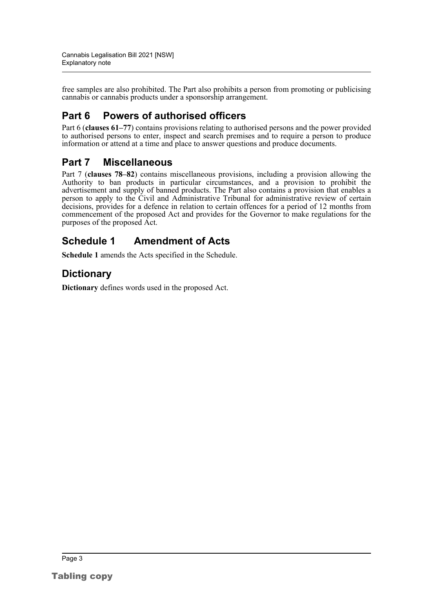free samples are also prohibited. The Part also prohibits a person from promoting or publicising cannabis or cannabis products under a sponsorship arrangement.

## **Part 6 Powers of authorised officers**

Part 6 (**clauses 61–77**) contains provisions relating to authorised persons and the power provided to authorised persons to enter, inspect and search premises and to require a person to produce information or attend at a time and place to answer questions and produce documents.

## **Part 7 Miscellaneous**

Part 7 (**clauses 78–82**) contains miscellaneous provisions, including a provision allowing the Authority to ban products in particular circumstances, and a provision to prohibit the advertisement and supply of banned products. The Part also contains a provision that enables a person to apply to the Civil and Administrative Tribunal for administrative review of certain decisions, provides for a defence in relation to certain offences for a period of 12 months from commencement of the proposed Act and provides for the Governor to make regulations for the purposes of the proposed Act.

## **Schedule 1 Amendment of Acts**

**Schedule 1** amends the Acts specified in the Schedule.

## **Dictionary**

**Dictionary** defines words used in the proposed Act.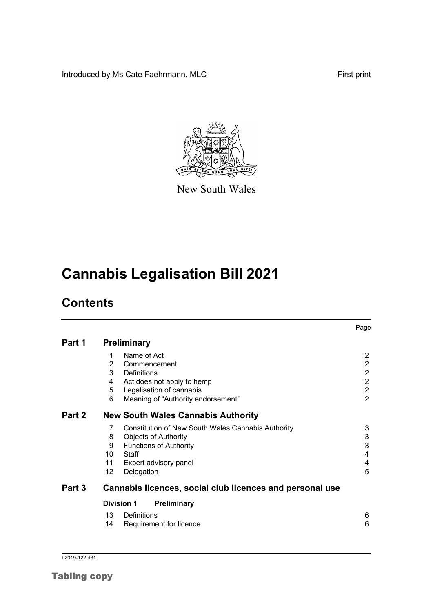Introduced by Ms Cate Faehrmann, MLC First print



New South Wales

# **Cannabis Legalisation Bill 2021**

## **Contents**

|        |    |                                                          | Page           |
|--------|----|----------------------------------------------------------|----------------|
| Part 1 |    | <b>Preliminary</b>                                       |                |
|        | 1  | Name of Act                                              | $\overline{2}$ |
|        | 2  | Commencement                                             | $\overline{2}$ |
|        | 3  | Definitions                                              | $\overline{c}$ |
|        | 4  | Act does not apply to hemp                               | $\overline{2}$ |
|        | 5  | Legalisation of cannabis                                 | $\overline{2}$ |
|        | 6  | Meaning of "Authority endorsement"                       | $\overline{2}$ |
| Part 2 |    | <b>New South Wales Cannabis Authority</b>                |                |
|        | 7  | Constitution of New South Wales Cannabis Authority       | 3              |
|        | 8  | <b>Objects of Authority</b>                              | 3              |
|        | 9  | <b>Functions of Authority</b>                            | 3              |
|        | 10 | Staff                                                    | 4              |
|        | 11 | Expert advisory panel                                    | 4              |
|        | 12 | Delegation                                               | 5              |
| Part 3 |    | Cannabis licences, social club licences and personal use |                |
|        |    | <b>Division 1</b><br>Preliminary                         |                |
|        | 13 | Definitions                                              | 6              |
|        | 14 | Requirement for licence                                  | 6              |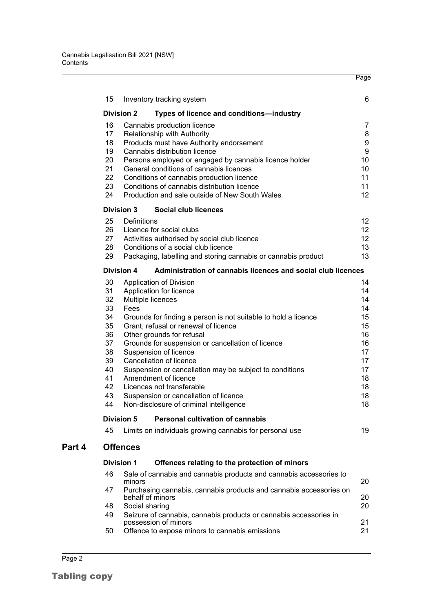|        | 15       | Inventory tracking system                                                            | 6                |
|--------|----------|--------------------------------------------------------------------------------------|------------------|
|        |          | <b>Division 2</b><br>Types of licence and conditions-industry                        |                  |
|        | 16       | Cannabis production licence                                                          | $\overline{7}$   |
|        | 17       | Relationship with Authority                                                          | 8                |
|        | 18       | Products must have Authority endorsement                                             | 9                |
|        | 19       | Cannabis distribution licence                                                        | $\boldsymbol{9}$ |
|        | 20       | Persons employed or engaged by cannabis licence holder                               | 10               |
|        | 21<br>22 | General conditions of cannabis licences<br>Conditions of cannabis production licence | 10<br>11         |
|        | 23       | Conditions of cannabis distribution licence                                          | 11               |
|        | 24       | Production and sale outside of New South Wales                                       | 12               |
|        |          | <b>Division 3</b><br>Social club licences                                            |                  |
|        | 25       | Definitions                                                                          | 12               |
|        | 26       | Licence for social clubs                                                             | 12               |
|        | 27       | Activities authorised by social club licence                                         | 12               |
|        | 28       | Conditions of a social club licence                                                  | 13               |
|        | 29       | Packaging, labelling and storing cannabis or cannabis product                        | 13               |
|        |          | <b>Division 4</b><br>Administration of cannabis licences and social club licences    |                  |
|        | 30       | Application of Division                                                              | 14               |
|        | 31       | Application for licence                                                              | 14               |
|        | 32       | Multiple licences                                                                    | 14<br>14         |
|        | 33<br>34 | Fees<br>Grounds for finding a person is not suitable to hold a licence               | 15               |
|        | 35       | Grant, refusal or renewal of licence                                                 | 15               |
|        | 36       | Other grounds for refusal                                                            | 16               |
|        | 37       | Grounds for suspension or cancellation of licence                                    | 16               |
|        | 38       | Suspension of licence                                                                | 17               |
|        | 39       | Cancellation of licence                                                              | 17               |
|        | 40       | Suspension or cancellation may be subject to conditions                              | 17               |
|        | 41       | Amendment of licence                                                                 | 18               |
|        | 42       | Licences not transferable                                                            | 18               |
|        | 43<br>44 | Suspension or cancellation of licence<br>Non-disclosure of criminal intelligence     | 18<br>18         |
|        |          | <b>Division 5</b><br><b>Personal cultivation of cannabis</b>                         |                  |
|        | 45       | Limits on individuals growing cannabis for personal use                              | 19               |
| Part 4 |          | <b>Offences</b>                                                                      |                  |
|        |          | <b>Division 1</b><br>Offences relating to the protection of minors                   |                  |
|        | 46       | Sale of cannabis and cannabis products and cannabis accessories to<br>minors         | 20               |
|        | 47       | Purchasing cannabis, cannabis products and cannabis accessories on                   |                  |
|        |          | behalf of minors                                                                     | 20               |
|        | 48       | Social sharing                                                                       | 20               |
|        | 49       | Seizure of cannabis, cannabis products or cannabis accessories in                    |                  |

Page

[possession of minors](#page-27-0)<br>
21<br>
Offence to expose minors to cannabis emissions 21 [50 Offence to expose minors to cannabis emissions](#page-27-1)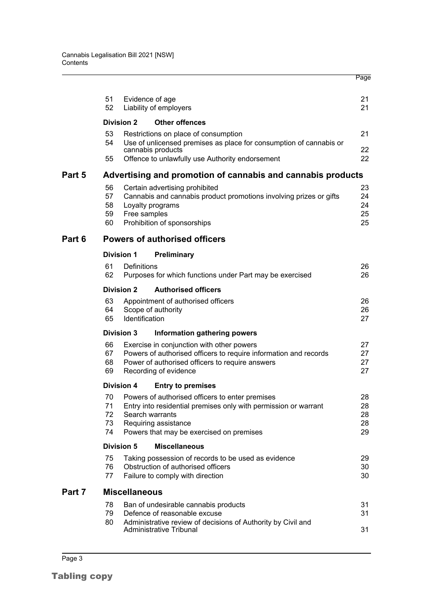|        |          |                      |                                                                                                                     | Page     |
|--------|----------|----------------------|---------------------------------------------------------------------------------------------------------------------|----------|
|        | 51<br>52 |                      | Evidence of age                                                                                                     | 21<br>21 |
|        |          |                      | Liability of employers                                                                                              |          |
|        |          | <b>Division 2</b>    | <b>Other offences</b>                                                                                               |          |
|        | 53<br>54 |                      | Restrictions on place of consumption<br>Use of unlicensed premises as place for consumption of cannabis or          | 21       |
|        |          |                      | cannabis products                                                                                                   | 22       |
|        | 55       |                      | Offence to unlawfully use Authority endorsement                                                                     | 22       |
| Part 5 |          |                      | Advertising and promotion of cannabis and cannabis products                                                         |          |
|        | 56       |                      | Certain advertising prohibited                                                                                      | 23       |
|        | 57       |                      | Cannabis and cannabis product promotions involving prizes or gifts                                                  | 24       |
|        | 58       |                      | Loyalty programs                                                                                                    | 24       |
|        | 59<br>60 | Free samples         | Prohibition of sponsorships                                                                                         | 25<br>25 |
|        |          |                      |                                                                                                                     |          |
| Part 6 |          |                      | <b>Powers of authorised officers</b>                                                                                |          |
|        |          | <b>Division 1</b>    | Preliminary                                                                                                         |          |
|        | 61<br>62 | Definitions          |                                                                                                                     | 26       |
|        |          |                      | Purposes for which functions under Part may be exercised                                                            | 26       |
|        |          | <b>Division 2</b>    | <b>Authorised officers</b>                                                                                          |          |
|        | 63       |                      | Appointment of authorised officers                                                                                  | 26       |
|        | 64<br>65 | Identification       | Scope of authority                                                                                                  | 26<br>27 |
|        |          |                      |                                                                                                                     |          |
|        |          | <b>Division 3</b>    | Information gathering powers                                                                                        |          |
|        | 66       |                      | Exercise in conjunction with other powers                                                                           | 27       |
|        | 67<br>68 |                      | Powers of authorised officers to require information and records<br>Power of authorised officers to require answers | 27<br>27 |
|        | 69       |                      | Recording of evidence                                                                                               | 27       |
|        |          | Division 4           | <b>Entry to premises</b>                                                                                            |          |
|        |          |                      | 70 Powers of authorised officers to enter premises                                                                  | 28       |
|        | 71       |                      | Entry into residential premises only with permission or warrant                                                     | 28       |
|        | 72       |                      | Search warrants                                                                                                     | 28       |
|        | 73       |                      | Requiring assistance                                                                                                | 28       |
|        | 74       |                      | Powers that may be exercised on premises                                                                            | 29       |
|        |          | <b>Division 5</b>    | <b>Miscellaneous</b>                                                                                                |          |
|        | 75       |                      | Taking possession of records to be used as evidence                                                                 | 29       |
|        | 76       |                      | Obstruction of authorised officers                                                                                  | 30       |
|        | 77       |                      | Failure to comply with direction                                                                                    | 30       |
| Part 7 |          | <b>Miscellaneous</b> |                                                                                                                     |          |
|        | 78       |                      | Ban of undesirable cannabis products                                                                                | 31       |
|        | 79       |                      | Defence of reasonable excuse                                                                                        | 31       |
|        | 80       |                      | Administrative review of decisions of Authority by Civil and<br>Administrative Tribunal                             | 31       |
|        |          |                      |                                                                                                                     |          |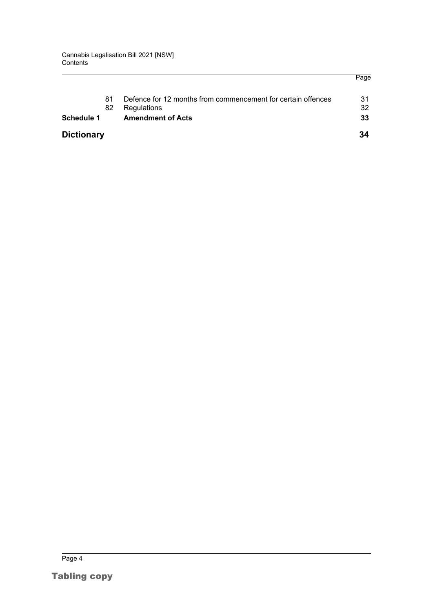| <b>Schedule 1</b> | 81<br>82 | Defence for 12 months from commencement for certain offences<br>Regulations<br><b>Amendment of Acts</b> | 31<br>32<br>33 |
|-------------------|----------|---------------------------------------------------------------------------------------------------------|----------------|
| <b>Dictionary</b> |          |                                                                                                         | 34             |

Page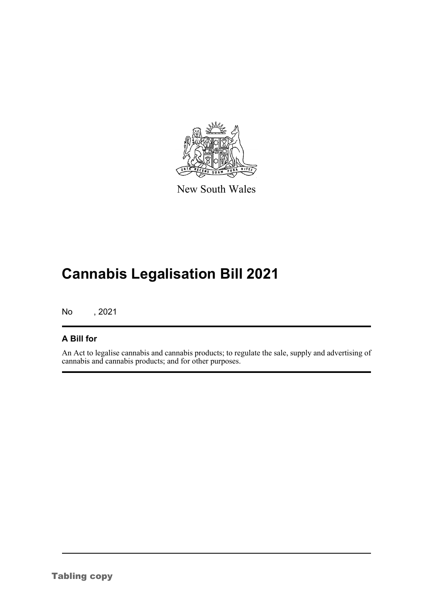

New South Wales

# **Cannabis Legalisation Bill 2021**

No , 2021

### **A Bill for**

An Act to legalise cannabis and cannabis products; to regulate the sale, supply and advertising of cannabis and cannabis products; and for other purposes.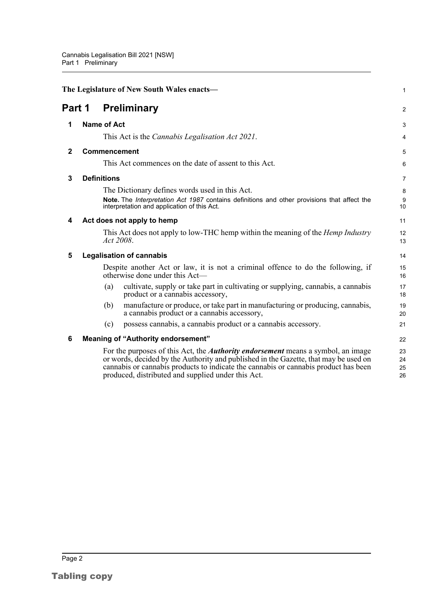<span id="page-8-6"></span><span id="page-8-5"></span><span id="page-8-4"></span><span id="page-8-3"></span><span id="page-8-2"></span><span id="page-8-1"></span><span id="page-8-0"></span>

| The Legislature of New South Wales enacts- |  |                                                                                                                                                                                                                                                                                                                              |                      |  |  |
|--------------------------------------------|--|------------------------------------------------------------------------------------------------------------------------------------------------------------------------------------------------------------------------------------------------------------------------------------------------------------------------------|----------------------|--|--|
| Part 1                                     |  | <b>Preliminary</b>                                                                                                                                                                                                                                                                                                           | $\overline{a}$       |  |  |
| 1                                          |  | <b>Name of Act</b>                                                                                                                                                                                                                                                                                                           | 3                    |  |  |
|                                            |  | This Act is the <i>Cannabis Legalisation Act 2021</i> .                                                                                                                                                                                                                                                                      | 4                    |  |  |
| $\mathbf{2}$                               |  | Commencement                                                                                                                                                                                                                                                                                                                 | 5                    |  |  |
|                                            |  | This Act commences on the date of assent to this Act.                                                                                                                                                                                                                                                                        | 6                    |  |  |
| 3                                          |  | <b>Definitions</b>                                                                                                                                                                                                                                                                                                           | 7                    |  |  |
|                                            |  | The Dictionary defines words used in this Act.                                                                                                                                                                                                                                                                               | 8                    |  |  |
|                                            |  | Note. The Interpretation Act 1987 contains definitions and other provisions that affect the<br>interpretation and application of this Act.                                                                                                                                                                                   | 9<br>10              |  |  |
| 4                                          |  | Act does not apply to hemp                                                                                                                                                                                                                                                                                                   | 11                   |  |  |
|                                            |  | This Act does not apply to low-THC hemp within the meaning of the <i>Hemp Industry</i><br>Act 2008.                                                                                                                                                                                                                          | 12<br>13             |  |  |
| 5                                          |  | <b>Legalisation of cannabis</b>                                                                                                                                                                                                                                                                                              | 14                   |  |  |
|                                            |  | Despite another Act or law, it is not a criminal offence to do the following, if<br>otherwise done under this Act—                                                                                                                                                                                                           | 15<br>16             |  |  |
|                                            |  | cultivate, supply or take part in cultivating or supplying, cannabis, a cannabis<br>(a)<br>product or a cannabis accessory,                                                                                                                                                                                                  | 17<br>18             |  |  |
|                                            |  | manufacture or produce, or take part in manufacturing or producing, cannabis,<br>(b)<br>a cannabis product or a cannabis accessory,                                                                                                                                                                                          | 19<br>20             |  |  |
|                                            |  | possess cannabis, a cannabis product or a cannabis accessory.<br>(c)                                                                                                                                                                                                                                                         | 21                   |  |  |
| 6                                          |  | <b>Meaning of "Authority endorsement"</b>                                                                                                                                                                                                                                                                                    | 22                   |  |  |
|                                            |  | For the purposes of this Act, the <i>Authority endorsement</i> means a symbol, an image<br>or words, decided by the Authority and published in the Gazette, that may be used on<br>cannabis or cannabis products to indicate the cannabis or cannabis product has been<br>produced, distributed and supplied under this Act. | 23<br>24<br>25<br>26 |  |  |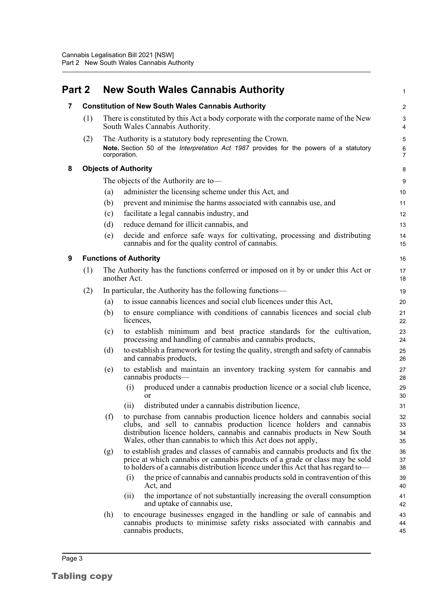<span id="page-9-3"></span><span id="page-9-2"></span><span id="page-9-1"></span><span id="page-9-0"></span>

| Part 2 |     | <b>New South Wales Cannabis Authority</b>                                                                                                                                                                                                                                                           | 1                       |
|--------|-----|-----------------------------------------------------------------------------------------------------------------------------------------------------------------------------------------------------------------------------------------------------------------------------------------------------|-------------------------|
| 7      |     | <b>Constitution of New South Wales Cannabis Authority</b>                                                                                                                                                                                                                                           | $\overline{\mathbf{c}}$ |
|        | (1) | There is constituted by this Act a body corporate with the corporate name of the New<br>South Wales Cannabis Authority.                                                                                                                                                                             | 3<br>4                  |
|        | (2) | The Authority is a statutory body representing the Crown.<br>Note. Section 50 of the Interpretation Act 1987 provides for the powers of a statutory<br>corporation.                                                                                                                                 | 5<br>6<br>7             |
| 8      |     | <b>Objects of Authority</b>                                                                                                                                                                                                                                                                         | 8                       |
|        |     | The objects of the Authority are to-                                                                                                                                                                                                                                                                | 9                       |
|        |     | administer the licensing scheme under this Act, and<br>(a)                                                                                                                                                                                                                                          | 10                      |
|        |     | prevent and minimise the harms associated with cannabis use, and<br>(b)                                                                                                                                                                                                                             | 11                      |
|        |     | facilitate a legal cannabis industry, and<br>(c)                                                                                                                                                                                                                                                    | 12                      |
|        |     | reduce demand for illicit cannabis, and<br>(d)                                                                                                                                                                                                                                                      | 13                      |
|        |     | decide and enforce safe ways for cultivating, processing and distributing<br>(e)<br>cannabis and for the quality control of cannabis.                                                                                                                                                               | 14<br>15                |
| 9      |     | <b>Functions of Authority</b>                                                                                                                                                                                                                                                                       | 16                      |
|        | (1) | The Authority has the functions conferred or imposed on it by or under this Act or<br>another Act.                                                                                                                                                                                                  | 17<br>18                |
|        | (2) | In particular, the Authority has the following functions—                                                                                                                                                                                                                                           | 19                      |
|        |     | to issue cannabis licences and social club licences under this Act,<br>(a)                                                                                                                                                                                                                          | 20                      |
|        |     | to ensure compliance with conditions of cannabis licences and social club<br>(b)<br>licences,                                                                                                                                                                                                       | 21<br>22                |
|        |     | to establish minimum and best practice standards for the cultivation,<br>(c)<br>processing and handling of cannabis and cannabis products,                                                                                                                                                          | 23<br>24                |
|        |     | to establish a framework for testing the quality, strength and safety of cannabis<br>(d)<br>and cannabis products,                                                                                                                                                                                  | 25<br>26                |
|        |     | to establish and maintain an inventory tracking system for cannabis and<br>(e)<br>cannabis products-                                                                                                                                                                                                | 27<br>28                |
|        |     | produced under a cannabis production licence or a social club licence,<br>(i)<br>or                                                                                                                                                                                                                 | 29<br>30                |
|        |     | distributed under a cannabis distribution licence,<br>(ii)                                                                                                                                                                                                                                          | 31                      |
|        |     | (f)<br>to purchase from cannabis production licence holders and cannabis social<br>clubs, and sell to cannabis production licence holders and cannabis<br>distribution licence holders, cannabis and cannabis products in New South<br>Wales, other than cannabis to which this Act does not apply, | 32<br>33<br>34<br>35    |
|        |     | to establish grades and classes of cannabis and cannabis products and fix the<br>(g)<br>price at which cannabis or cannabis products of a grade or class may be sold<br>to holders of a cannabis distribution licence under this Act that has regard to-                                            | 36<br>37<br>38          |
|        |     | the price of cannabis and cannabis products sold in contravention of this<br>(i)<br>Act, and                                                                                                                                                                                                        | 39<br>40                |
|        |     | the importance of not substantially increasing the overall consumption<br>(11)<br>and uptake of cannabis use,                                                                                                                                                                                       | 41<br>42                |
|        |     | (h)<br>to encourage businesses engaged in the handling or sale of cannabis and<br>cannabis products to minimise safety risks associated with cannabis and<br>cannabis products,                                                                                                                     | 43<br>44<br>45          |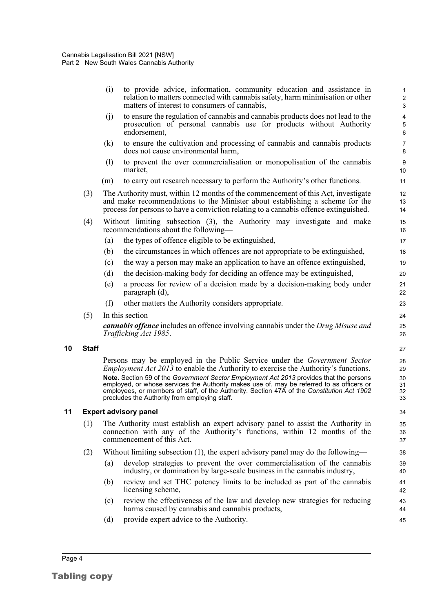|    |              | (i) | to provide advice, information, community education and assistance in<br>relation to matters connected with cannabis safety, harm minimisation or other<br>matters of interest to consumers of cannabis,                                                                                                                                                                                                                                                                                                             | $\mathbf{1}$<br>$\sqrt{2}$<br>3  |
|----|--------------|-----|----------------------------------------------------------------------------------------------------------------------------------------------------------------------------------------------------------------------------------------------------------------------------------------------------------------------------------------------------------------------------------------------------------------------------------------------------------------------------------------------------------------------|----------------------------------|
|    |              | (i) | to ensure the regulation of cannabis and cannabis products does not lead to the<br>prosecution of personal cannabis use for products without Authority<br>endorsement,                                                                                                                                                                                                                                                                                                                                               | 4<br>5<br>6                      |
|    |              | (k) | to ensure the cultivation and processing of cannabis and cannabis products<br>does not cause environmental harm,                                                                                                                                                                                                                                                                                                                                                                                                     | $\overline{7}$<br>8              |
|    |              | (1) | to prevent the over commercialisation or monopolisation of the cannabis<br>market,                                                                                                                                                                                                                                                                                                                                                                                                                                   | 9<br>10                          |
|    |              | (m) | to carry out research necessary to perform the Authority's other functions.                                                                                                                                                                                                                                                                                                                                                                                                                                          | 11                               |
|    | (3)          |     | The Authority must, within 12 months of the commencement of this Act, investigate<br>and make recommendations to the Minister about establishing a scheme for the<br>process for persons to have a conviction relating to a cannabis offence extinguished.                                                                                                                                                                                                                                                           | 12<br>13<br>14                   |
|    | (4)          |     | Without limiting subsection (3), the Authority may investigate and make<br>recommendations about the following—                                                                                                                                                                                                                                                                                                                                                                                                      | 15<br>16                         |
|    |              | (a) | the types of offence eligible to be extinguished,                                                                                                                                                                                                                                                                                                                                                                                                                                                                    | 17                               |
|    |              | (b) | the circumstances in which offences are not appropriate to be extinguished,                                                                                                                                                                                                                                                                                                                                                                                                                                          | 18                               |
|    |              | (c) | the way a person may make an application to have an offence extinguished,                                                                                                                                                                                                                                                                                                                                                                                                                                            | 19                               |
|    |              | (d) | the decision-making body for deciding an offence may be extinguished,                                                                                                                                                                                                                                                                                                                                                                                                                                                | 20                               |
|    |              | (e) | a process for review of a decision made by a decision-making body under<br>paragraph (d),                                                                                                                                                                                                                                                                                                                                                                                                                            | 21<br>22                         |
|    |              | (f) | other matters the Authority considers appropriate.                                                                                                                                                                                                                                                                                                                                                                                                                                                                   | 23                               |
|    | (5)          |     | In this section-                                                                                                                                                                                                                                                                                                                                                                                                                                                                                                     | 24                               |
|    |              |     | <b>cannabis offence</b> includes an offence involving cannabis under the Drug Misuse and<br>Trafficking Act 1985.                                                                                                                                                                                                                                                                                                                                                                                                    | 25<br>26                         |
| 10 | <b>Staff</b> |     |                                                                                                                                                                                                                                                                                                                                                                                                                                                                                                                      | 27                               |
|    |              |     | Persons may be employed in the Public Service under the <i>Government Sector</i><br><i>Employment Act 2013</i> to enable the Authority to exercise the Authority's functions.<br>Note. Section 59 of the Government Sector Employment Act 2013 provides that the persons<br>employed, or whose services the Authority makes use of, may be referred to as officers or<br>employees, or members of staff, of the Authority. Section 47A of the Constitution Act 1902<br>precludes the Authority from employing staff. | 28<br>29<br>30<br>31<br>32<br>33 |
| 11 |              |     | <b>Expert advisory panel</b>                                                                                                                                                                                                                                                                                                                                                                                                                                                                                         | 34                               |
|    | (1)          |     | The Authority must establish an expert advisory panel to assist the Authority in<br>connection with any of the Authority's functions, within 12 months of the<br>commencement of this Act.                                                                                                                                                                                                                                                                                                                           | 35<br>36<br>37                   |
|    | (2)          |     | Without limiting subsection (1), the expert advisory panel may do the following—                                                                                                                                                                                                                                                                                                                                                                                                                                     | 38                               |
|    |              | (a) | develop strategies to prevent the over commercialisation of the cannabis<br>industry, or domination by large-scale business in the cannabis industry,                                                                                                                                                                                                                                                                                                                                                                | 39<br>40                         |
|    |              | (b) | review and set THC potency limits to be included as part of the cannabis<br>licensing scheme,                                                                                                                                                                                                                                                                                                                                                                                                                        | 41<br>42                         |
|    |              | (c) | review the effectiveness of the law and develop new strategies for reducing<br>harms caused by cannabis and cannabis products,                                                                                                                                                                                                                                                                                                                                                                                       | 43<br>44                         |
|    |              | (d) | provide expert advice to the Authority.                                                                                                                                                                                                                                                                                                                                                                                                                                                                              | 45                               |
|    |              |     |                                                                                                                                                                                                                                                                                                                                                                                                                                                                                                                      |                                  |

<span id="page-10-1"></span><span id="page-10-0"></span>**10**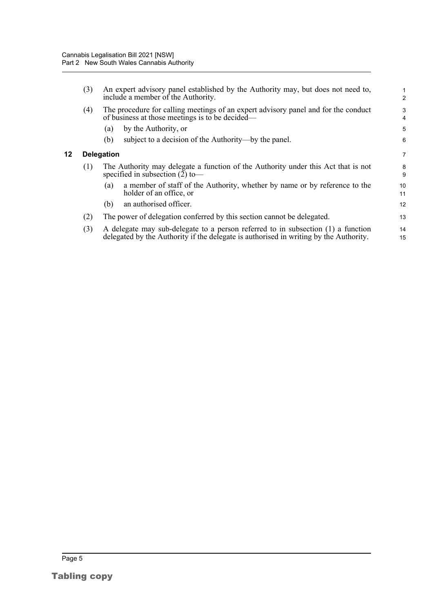<span id="page-11-0"></span>**12 Delegation**

| (3) | An expert advisory panel established by the Authority may, but does not need to,<br>include a member of the Authority.                                                    | 1<br>$\overline{2}$ |
|-----|---------------------------------------------------------------------------------------------------------------------------------------------------------------------------|---------------------|
| (4) | The procedure for calling meetings of an expert advisory panel and for the conduct<br>of business at those meetings is to be decided—                                     | 3<br>$\overline{4}$ |
|     | by the Authority, or<br>(a)                                                                                                                                               | 5                   |
|     | subject to a decision of the Authority—by the panel.<br>(b)                                                                                                               | 6                   |
|     | <b>Delegation</b>                                                                                                                                                         | $\overline{7}$      |
| (1) | The Authority may delegate a function of the Authority under this Act that is not<br>specified in subsection $(2)$ to-                                                    | 8<br>9              |
|     | a member of staff of the Authority, whether by name or by reference to the<br>(a)<br>holder of an office, or                                                              | 10<br>11            |
|     | an authorised officer.<br>(b)                                                                                                                                             | 12                  |
| (2) | The power of delegation conferred by this section cannot be delegated.                                                                                                    | 13                  |
| (3) | A delegate may sub-delegate to a person referred to in subsection (1) a function<br>delegated by the Authority if the delegate is authorised in writing by the Authority. | 14<br>15            |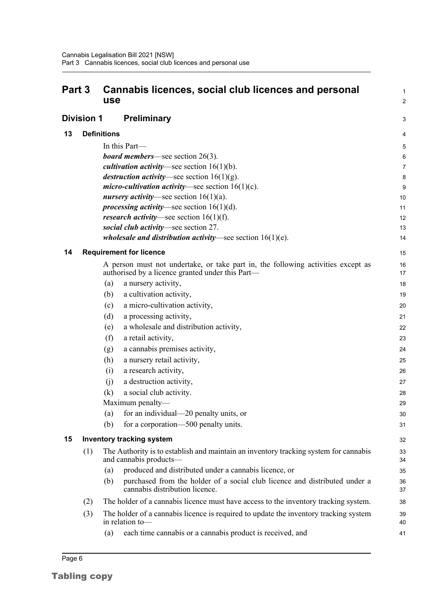<span id="page-12-4"></span><span id="page-12-3"></span><span id="page-12-2"></span><span id="page-12-1"></span><span id="page-12-0"></span>

| Part 3            |     | Cannabis licences, social club licences and personal<br><b>use</b>                                                                   | 1<br>$\overline{c}$ |
|-------------------|-----|--------------------------------------------------------------------------------------------------------------------------------------|---------------------|
| <b>Division 1</b> |     | <b>Preliminary</b>                                                                                                                   | 3                   |
| 13                |     | <b>Definitions</b>                                                                                                                   | 4                   |
|                   |     | In this Part-                                                                                                                        | 5                   |
|                   |     | <b>board members</b> —see section $26(3)$ .                                                                                          | 6                   |
|                   |     | <i>cultivation activity</i> —see section $16(1)(b)$ .                                                                                | 7                   |
|                   |     | <i>destruction activity</i> —see section $16(1)(g)$ .                                                                                | 8                   |
|                   |     | <i>micro-cultivation activity</i> —see section $16(1)(c)$ .                                                                          | 9                   |
|                   |     | <i>nursery activity</i> —see section $16(1)(a)$ .                                                                                    | 10                  |
|                   |     | <i>processing activity</i> —see section $16(1)(d)$ .                                                                                 | 11                  |
|                   |     | <i>research activity</i> —see section $16(1)(f)$ .                                                                                   | 12                  |
|                   |     | social club activity-see section 27.                                                                                                 | 13                  |
|                   |     | <i>wholesale and distribution activity</i> —see section $16(1)(e)$ .                                                                 | 14                  |
| 14                |     | <b>Requirement for licence</b>                                                                                                       | 15                  |
|                   |     | A person must not undertake, or take part in, the following activities except as<br>authorised by a licence granted under this Part— | 16<br>17            |
|                   |     | a nursery activity,<br>(a)                                                                                                           | 18                  |
|                   |     | a cultivation activity,<br>(b)                                                                                                       | 19                  |
|                   |     | a micro-cultivation activity,<br>(c)                                                                                                 | 20                  |
|                   |     | a processing activity,<br>(d)                                                                                                        | 21                  |
|                   |     | a wholesale and distribution activity,<br>(e)                                                                                        | 22                  |
|                   |     | (f)<br>a retail activity,                                                                                                            | 23                  |
|                   |     | a cannabis premises activity,<br>(g)                                                                                                 | 24                  |
|                   |     | a nursery retail activity,<br>(h)                                                                                                    | 25                  |
|                   |     | a research activity,<br>(i)                                                                                                          | 26                  |
|                   |     | a destruction activity,<br>(i)                                                                                                       | 27                  |
|                   |     | (k)<br>a social club activity.                                                                                                       | 28                  |
|                   |     | Maximum penalty—                                                                                                                     | 29                  |
|                   |     | for an individual—20 penalty units, or<br>(a)                                                                                        | 30                  |
|                   |     | (b)<br>for a corporation—500 penalty units.                                                                                          | 31                  |
| 15                |     | <b>Inventory tracking system</b>                                                                                                     | 32                  |
|                   | (1) | The Authority is to establish and maintain an inventory tracking system for cannabis<br>and cannabis products—                       | 33<br>34            |
|                   |     | produced and distributed under a cannabis licence, or<br>(a)                                                                         | 35                  |
|                   |     | purchased from the holder of a social club licence and distributed under a<br>(b)<br>cannabis distribution licence.                  | 36<br>37            |
|                   | (2) | The holder of a cannabis licence must have access to the inventory tracking system.                                                  | 38                  |
|                   | (3) | The holder of a cannabis licence is required to update the inventory tracking system<br>in relation to-                              | 39<br>40            |
|                   |     | each time cannabis or a cannabis product is received, and<br>(a)                                                                     | 41                  |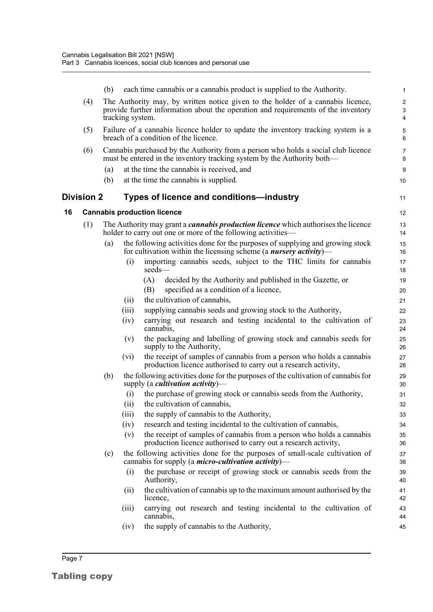<span id="page-13-1"></span><span id="page-13-0"></span>

|    |                   | (b) |                  | each time cannabis or a cannabis product is supplied to the Authority.                                                                                       | $\mathbf{1}$        |
|----|-------------------|-----|------------------|--------------------------------------------------------------------------------------------------------------------------------------------------------------|---------------------|
|    | (4)               |     |                  | The Authority may, by written notice given to the holder of a cannabis licence,                                                                              | $\overline{c}$      |
|    |                   |     | tracking system. | provide further information about the operation and requirements of the inventory                                                                            | 3<br>4              |
|    | (5)               |     |                  | Failure of a cannabis licence holder to update the inventory tracking system is a<br>breach of a condition of the licence.                                   | $\mathbf 5$<br>6    |
|    | (6)               |     |                  | Cannabis purchased by the Authority from a person who holds a social club licence<br>must be entered in the inventory tracking system by the Authority both— | $\overline{7}$<br>8 |
|    |                   | (a) |                  | at the time the cannabis is received, and                                                                                                                    | 9                   |
|    |                   | (b) |                  | at the time the cannabis is supplied.                                                                                                                        | 10                  |
|    | <b>Division 2</b> |     |                  | Types of licence and conditions—industry                                                                                                                     | 11                  |
| 16 |                   |     |                  | <b>Cannabis production licence</b>                                                                                                                           | 12                  |
|    | (1)               |     |                  | The Authority may grant a <i>cannabis production licence</i> which authorises the licence<br>holder to carry out one or more of the following activities—    | 13<br>14            |
|    |                   | (a) |                  | the following activities done for the purposes of supplying and growing stock<br>for cultivation within the licensing scheme (a <i>nursery activity</i> )—   | 15<br>16            |
|    |                   |     | (i)              | importing cannabis seeds, subject to the THC limits for cannabis<br>seeds-                                                                                   | 17<br>18            |
|    |                   |     |                  | (A)<br>decided by the Authority and published in the Gazette, or                                                                                             | 19                  |
|    |                   |     |                  | specified as a condition of a licence,<br>(B)                                                                                                                | 20                  |
|    |                   |     | (ii)             | the cultivation of cannabis,                                                                                                                                 | 21                  |
|    |                   |     | (iii)            | supplying cannabis seeds and growing stock to the Authority,                                                                                                 | 22                  |
|    |                   |     | (iv)             | carrying out research and testing incidental to the cultivation of<br>cannabis,                                                                              | 23<br>24            |
|    |                   |     | (v)              | the packaging and labelling of growing stock and cannabis seeds for<br>supply to the Authority,                                                              | 25<br>26            |
|    |                   |     | $(v_i)$          | the receipt of samples of cannabis from a person who holds a cannabis<br>production licence authorised to carry out a research activity,                     | 27<br>28            |
|    |                   | (b) |                  | the following activities done for the purposes of the cultivation of cannabis for<br>supply (a <i>cultivation activity</i> )—                                | 29<br>30            |
|    |                   |     | (i)              | the purchase of growing stock or cannabis seeds from the Authority,                                                                                          | 31                  |
|    |                   |     | (ii)             | the cultivation of cannabis,                                                                                                                                 | 32                  |
|    |                   |     | (iii)            | the supply of cannabis to the Authority,                                                                                                                     | 33                  |
|    |                   |     | (iv)             | research and testing incidental to the cultivation of cannabis,                                                                                              | 34                  |
|    |                   |     | (v)              | the receipt of samples of cannabis from a person who holds a cannabis<br>production licence authorised to carry out a research activity,                     | 35<br>36            |
|    |                   | (c) |                  | the following activities done for the purposes of small-scale cultivation of<br>cannabis for supply (a <i>micro-cultivation activity</i> )—                  | 37<br>38            |
|    |                   |     | (i)              | the purchase or receipt of growing stock or cannabis seeds from the<br>Authority,                                                                            | 39<br>40            |
|    |                   |     | (11)             | the cultivation of cannabis up to the maximum amount authorised by the<br>licence,                                                                           | 41<br>42            |
|    |                   |     | (iii)            | carrying out research and testing incidental to the cultivation of<br>cannabis,                                                                              | 43<br>44            |
|    |                   |     | (iv)             | the supply of cannabis to the Authority,                                                                                                                     | 45                  |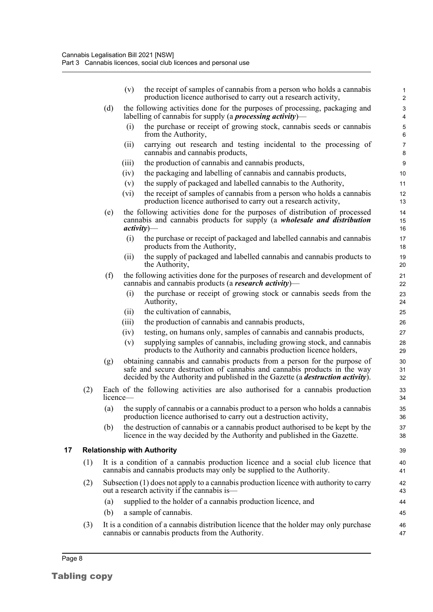|    |     |             | the receipt of samples of cannabis from a person who holds a cannabis<br>(v)<br>production licence authorised to carry out a research activity,                                                                                                  | 1<br>$\overline{2}$ |
|----|-----|-------------|--------------------------------------------------------------------------------------------------------------------------------------------------------------------------------------------------------------------------------------------------|---------------------|
|    |     | (d)         | the following activities done for the purposes of processing, packaging and<br>labelling of cannabis for supply (a <i>processing activity</i> )—                                                                                                 | 3<br>4              |
|    |     |             | the purchase or receipt of growing stock, cannabis seeds or cannabis<br>(i)<br>from the Authority,                                                                                                                                               | $\mathbf 5$<br>6    |
|    |     |             | carrying out research and testing incidental to the processing of<br>(ii)<br>cannabis and cannabis products,                                                                                                                                     | $\overline{7}$<br>8 |
|    |     |             | the production of cannabis and cannabis products,<br>(iii)                                                                                                                                                                                       | $\boldsymbol{9}$    |
|    |     |             | the packaging and labelling of cannabis and cannabis products,<br>(iv)                                                                                                                                                                           | 10                  |
|    |     |             | the supply of packaged and labelled cannabis to the Authority,<br>(v)                                                                                                                                                                            | 11                  |
|    |     |             | (vi)<br>the receipt of samples of cannabis from a person who holds a cannabis<br>production licence authorised to carry out a research activity,                                                                                                 | 12<br>13            |
|    |     | (e)         | the following activities done for the purposes of distribution of processed<br>cannabis and cannabis products for supply (a wholesale and distribution<br>$activity)$ —                                                                          | 14<br>15<br>16      |
|    |     |             | the purchase or receipt of packaged and labelled cannabis and cannabis<br>(i)<br>products from the Authority,                                                                                                                                    | 17<br>18            |
|    |     |             | the supply of packaged and labelled cannabis and cannabis products to<br>(ii)<br>the Authority,                                                                                                                                                  | 19<br>20            |
|    |     | (f)         | the following activities done for the purposes of research and development of<br>cannabis and cannabis products (a research activity)—                                                                                                           | 21<br>22            |
|    |     |             | the purchase or receipt of growing stock or cannabis seeds from the<br>(i)<br>Authority,                                                                                                                                                         | 23<br>24            |
|    |     |             | the cultivation of cannabis,<br>(ii)                                                                                                                                                                                                             | 25                  |
|    |     |             | the production of cannabis and cannabis products,<br>(iii)                                                                                                                                                                                       | 26                  |
|    |     |             | testing, on humans only, samples of cannabis and cannabis products,<br>(iv)                                                                                                                                                                      | 27                  |
|    |     |             | supplying samples of cannabis, including growing stock, and cannabis<br>(v)<br>products to the Authority and cannabis production licence holders,                                                                                                | 28<br>29            |
|    |     | (g)         | obtaining cannabis and cannabis products from a person for the purpose of<br>safe and secure destruction of cannabis and cannabis products in the way<br>decided by the Authority and published in the Gazette (a <i>destruction activity</i> ). | 30<br>31<br>32      |
|    | (2) | $l$ icence— | Each of the following activities are also authorised for a cannabis production                                                                                                                                                                   | 33<br>34            |
|    |     | (a)         | the supply of cannabis or a cannabis product to a person who holds a cannabis<br>production licence authorised to carry out a destruction activity,                                                                                              | 35<br>36            |
|    |     | (b)         | the destruction of cannabis or a cannabis product authorised to be kept by the<br>licence in the way decided by the Authority and published in the Gazette.                                                                                      | 37<br>38            |
| 17 |     |             | <b>Relationship with Authority</b>                                                                                                                                                                                                               | 39                  |
|    | (1) |             | It is a condition of a cannabis production licence and a social club licence that<br>cannabis and cannabis products may only be supplied to the Authority.                                                                                       | 40<br>41            |
|    | (2) |             | Subsection $(1)$ does not apply to a cannabis production licence with authority to carry<br>out a research activity if the cannabis is—                                                                                                          | 42<br>43            |
|    |     | (a)         | supplied to the holder of a cannabis production licence, and                                                                                                                                                                                     | 44                  |
|    |     | (b)         | a sample of cannabis.                                                                                                                                                                                                                            | 45                  |
|    | (3) |             | It is a condition of a cannabis distribution licence that the holder may only purchase<br>cannabis or cannabis products from the Authority.                                                                                                      | 46<br>47            |

<span id="page-14-0"></span>Tabling copy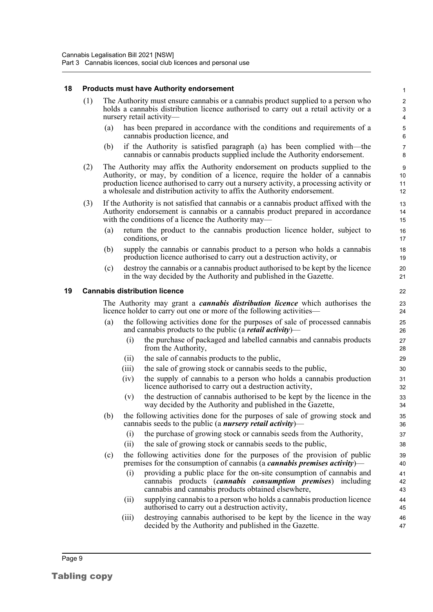#### <span id="page-15-0"></span>**18 Products must have Authority endorsement**

- (1) The Authority must ensure cannabis or a cannabis product supplied to a person who holds a cannabis distribution licence authorised to carry out a retail activity or a nursery retail activity—
	- (a) has been prepared in accordance with the conditions and requirements of a cannabis production licence, and

- (b) if the Authority is satisfied paragraph (a) has been complied with—the cannabis or cannabis products supplied include the Authority endorsement.
- (2) The Authority may affix the Authority endorsement on products supplied to the Authority, or may, by condition of a licence, require the holder of a cannabis production licence authorised to carry out a nursery activity, a processing activity or a wholesale and distribution activity to affix the Authority endorsement.
- (3) If the Authority is not satisfied that cannabis or a cannabis product affixed with the Authority endorsement is cannabis or a cannabis product prepared in accordance with the conditions of a licence the Authority may—
	- (a) return the product to the cannabis production licence holder, subject to conditions, or
	- (b) supply the cannabis or cannabis product to a person who holds a cannabis production licence authorised to carry out a destruction activity, or
	- (c) destroy the cannabis or a cannabis product authorised to be kept by the licence in the way decided by the Authority and published in the Gazette.

#### <span id="page-15-1"></span>**19 Cannabis distribution licence**

The Authority may grant a *cannabis distribution licence* which authorises the licence holder to carry out one or more of the following activities—

- (a) the following activities done for the purposes of sale of processed cannabis and cannabis products to the public (a *retail activity*)—
	- (i) the purchase of packaged and labelled cannabis and cannabis products from the Authority,
	- (ii) the sale of cannabis products to the public,
	- (iii) the sale of growing stock or cannabis seeds to the public,
	- (iv) the supply of cannabis to a person who holds a cannabis production licence authorised to carry out a destruction activity,
	- (v) the destruction of cannabis authorised to be kept by the licence in the way decided by the Authority and published in the Gazette,
- (b) the following activities done for the purposes of sale of growing stock and cannabis seeds to the public (a *nursery retail activity*)—
	- (i) the purchase of growing stock or cannabis seeds from the Authority,
	- (ii) the sale of growing stock or cannabis seeds to the public,
- (c) the following activities done for the purposes of the provision of public premises for the consumption of cannabis (a *cannabis premises activity*)—
	- (i) providing a public place for the on-site consumption of cannabis and cannabis products (*cannabis consumption premises*) including cannabis and cannabis products obtained elsewhere,
	- (ii) supplying cannabis to a person who holds a cannabis production licence authorised to carry out a destruction activity,
	- (iii) destroying cannabis authorised to be kept by the licence in the way decided by the Authority and published in the Gazette.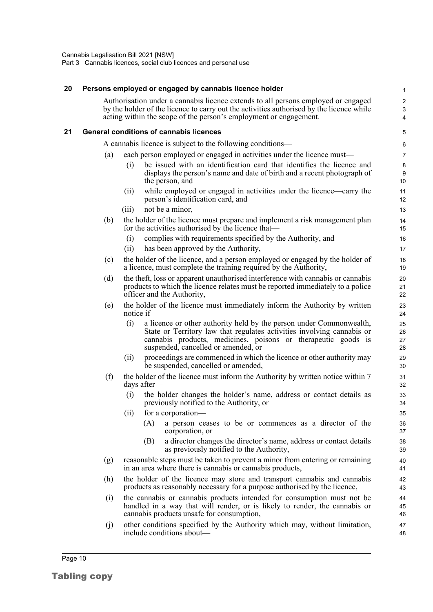#### <span id="page-16-0"></span>**20 Persons employed or engaged by cannabis licence holder**

Authorisation under a cannabis licence extends to all persons employed or engaged by the holder of the licence to carry out the activities authorised by the licence while acting within the scope of the person's employment or engagement.

#### <span id="page-16-1"></span>**21 General conditions of cannabis licences**

A cannabis licence is subject to the following conditions—

- (a) each person employed or engaged in activities under the licence must—
	- (i) be issued with an identification card that identifies the licence and displays the person's name and date of birth and a recent photograph of the person, and
	- (ii) while employed or engaged in activities under the licence—carry the person's identification card, and
	- (iii) not be a minor,
- (b) the holder of the licence must prepare and implement a risk management plan for the activities authorised by the licence that—
	- (i) complies with requirements specified by the Authority, and
	- (ii) has been approved by the Authority,
- (c) the holder of the licence, and a person employed or engaged by the holder of a licence, must complete the training required by the Authority,
- (d) the theft, loss or apparent unauthorised interference with cannabis or cannabis products to which the licence relates must be reported immediately to a police officer and the Authority,
- (e) the holder of the licence must immediately inform the Authority by written notice if—
	- (i) a licence or other authority held by the person under Commonwealth, State or Territory law that regulates activities involving cannabis or cannabis products, medicines, poisons or therapeutic goods is suspended, cancelled or amended, or
	- (ii) proceedings are commenced in which the licence or other authority may be suspended, cancelled or amended,
- (f) the holder of the licence must inform the Authority by written notice within 7 days after—
	- (i) the holder changes the holder's name, address or contact details as previously notified to the Authority, or
	- (ii) for a corporation—
		- (A) a person ceases to be or commences as a director of the corporation, or
		- (B) a director changes the director's name, address or contact details as previously notified to the Authority,
- (g) reasonable steps must be taken to prevent a minor from entering or remaining in an area where there is cannabis or cannabis products,
- (h) the holder of the licence may store and transport cannabis and cannabis products as reasonably necessary for a purpose authorised by the licence,
- (i) the cannabis or cannabis products intended for consumption must not be handled in a way that will render, or is likely to render, the cannabis or cannabis products unsafe for consumption,
- (j) other conditions specified by the Authority which may, without limitation, include conditions about—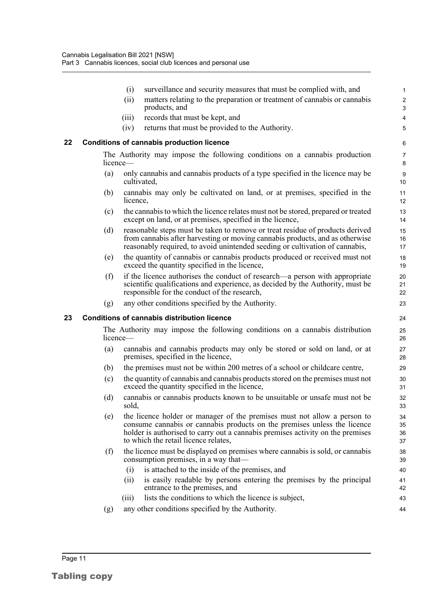<span id="page-17-1"></span><span id="page-17-0"></span>

|    |     | (i)<br>surveillance and security measures that must be complied with, and                                                                                                                                                                                                      | $\mathbf{1}$                 |
|----|-----|--------------------------------------------------------------------------------------------------------------------------------------------------------------------------------------------------------------------------------------------------------------------------------|------------------------------|
|    |     | (ii)<br>matters relating to the preparation or treatment of cannabis or cannabis<br>products, and                                                                                                                                                                              | $\overline{2}$<br>$\sqrt{3}$ |
|    |     | records that must be kept, and<br>(iii)                                                                                                                                                                                                                                        | $\overline{4}$               |
|    |     | returns that must be provided to the Authority.<br>(iv)                                                                                                                                                                                                                        | 5                            |
| 22 |     | <b>Conditions of cannabis production licence</b>                                                                                                                                                                                                                               | 6                            |
|    |     | The Authority may impose the following conditions on a cannabis production<br>licence-                                                                                                                                                                                         | $\overline{7}$<br>8          |
|    | (a) | only cannabis and cannabis products of a type specified in the licence may be<br>cultivated,                                                                                                                                                                                   | $9\,$<br>10                  |
|    | (b) | cannabis may only be cultivated on land, or at premises, specified in the<br>licence,                                                                                                                                                                                          | 11<br>12                     |
|    | (c) | the cannabis to which the licence relates must not be stored, prepared or treated<br>except on land, or at premises, specified in the licence,                                                                                                                                 | 13<br>14                     |
|    | (d) | reasonable steps must be taken to remove or treat residue of products derived<br>from cannabis after harvesting or moving cannabis products, and as otherwise<br>reasonably required, to avoid unintended seeding or cultivation of cannabis,                                  | 15<br>16<br>17               |
|    | (e) | the quantity of cannabis or cannabis products produced or received must not<br>exceed the quantity specified in the licence,                                                                                                                                                   | 18<br>19                     |
|    | (f) | if the licence authorises the conduct of research—a person with appropriate<br>scientific qualifications and experience, as decided by the Authority, must be<br>responsible for the conduct of the research,                                                                  | 20<br>21<br>22               |
|    | (g) | any other conditions specified by the Authority.                                                                                                                                                                                                                               | 23                           |
| 23 |     | <b>Conditions of cannabis distribution licence</b>                                                                                                                                                                                                                             | 24                           |
|    |     | The Authority may impose the following conditions on a cannabis distribution<br>licence-                                                                                                                                                                                       | 25<br>26                     |
|    | (a) | cannabis and cannabis products may only be stored or sold on land, or at<br>premises, specified in the licence,                                                                                                                                                                | 27<br>28                     |
|    | (b) | the premises must not be within 200 metres of a school or childcare centre,                                                                                                                                                                                                    | 29                           |
|    | (c) | the quantity of cannabis and cannabis products stored on the premises must not<br>exceed the quantity specified in the licence,                                                                                                                                                | 30<br>31                     |
|    | (d) | cannabis or cannabis products known to be unsuitable or unsafe must not be<br>sold,                                                                                                                                                                                            | 32<br>33                     |
|    | (e) | the licence holder or manager of the premises must not allow a person to<br>consume cannabis or cannabis products on the premises unless the licence<br>holder is authorised to carry out a cannabis premises activity on the premises<br>to which the retail licence relates, | 34<br>35<br>36<br>37         |
|    | (f) | the licence must be displayed on premises where cannabis is sold, or cannabis<br>consumption premises, in a way that-                                                                                                                                                          | 38<br>39                     |
|    |     | is attached to the inside of the premises, and<br>(i)                                                                                                                                                                                                                          | 40                           |
|    |     | is easily readable by persons entering the premises by the principal<br>(i)<br>entrance to the premises, and                                                                                                                                                                   | 41<br>42                     |
|    |     | lists the conditions to which the licence is subject,<br>(iii)                                                                                                                                                                                                                 | 43                           |
|    | (g) | any other conditions specified by the Authority.                                                                                                                                                                                                                               | 44                           |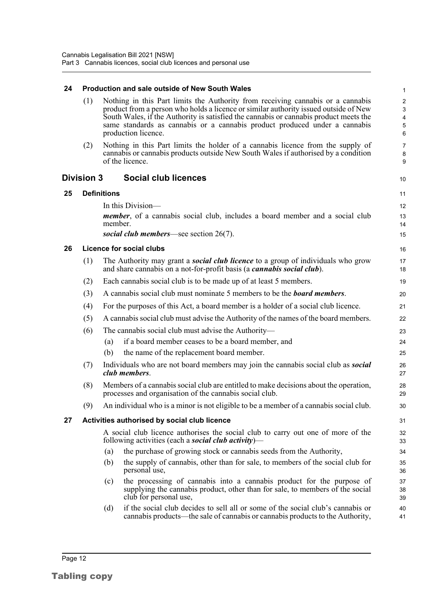<span id="page-18-4"></span><span id="page-18-3"></span><span id="page-18-2"></span><span id="page-18-1"></span><span id="page-18-0"></span>

| 24 |                   |                    | <b>Production and sale outside of New South Wales</b>                                                                                                                                                                                                                                                                                                                 | $\mathbf{1}$                                                                  |
|----|-------------------|--------------------|-----------------------------------------------------------------------------------------------------------------------------------------------------------------------------------------------------------------------------------------------------------------------------------------------------------------------------------------------------------------------|-------------------------------------------------------------------------------|
|    | (1)               |                    | Nothing in this Part limits the Authority from receiving cannabis or a cannabis<br>product from a person who holds a licence or similar authority issued outside of New<br>South Wales, if the Authority is satisfied the cannabis or cannabis product meets the<br>same standards as cannabis or a cannabis product produced under a cannabis<br>production licence. | $\overline{c}$<br>$\ensuremath{\mathsf{3}}$<br>$\overline{4}$<br>5<br>$\,6\,$ |
|    | (2)               |                    | Nothing in this Part limits the holder of a cannabis licence from the supply of<br>cannabis or cannabis products outside New South Wales if authorised by a condition<br>of the licence.                                                                                                                                                                              | $\overline{7}$<br>8<br>9                                                      |
|    | <b>Division 3</b> |                    | <b>Social club licences</b>                                                                                                                                                                                                                                                                                                                                           | 10                                                                            |
| 25 |                   | <b>Definitions</b> |                                                                                                                                                                                                                                                                                                                                                                       | 11                                                                            |
|    |                   |                    | In this Division—                                                                                                                                                                                                                                                                                                                                                     | 12                                                                            |
|    |                   | member.            | <i>member</i> , of a cannabis social club, includes a board member and a social club                                                                                                                                                                                                                                                                                  | 13<br>14                                                                      |
|    |                   |                    | social club members—see section $26(7)$ .                                                                                                                                                                                                                                                                                                                             | 15                                                                            |
| 26 |                   |                    | <b>Licence for social clubs</b>                                                                                                                                                                                                                                                                                                                                       | 16                                                                            |
|    | (1)               |                    | The Authority may grant a <b>social club licence</b> to a group of individuals who grow<br>and share cannabis on a not-for-profit basis (a <i>cannabis social club</i> ).                                                                                                                                                                                             | 17<br>18                                                                      |
|    | (2)               |                    | Each cannabis social club is to be made up of at least 5 members.                                                                                                                                                                                                                                                                                                     | 19                                                                            |
|    | (3)               |                    | A cannabis social club must nominate 5 members to be the <b>board members</b> .                                                                                                                                                                                                                                                                                       | 20                                                                            |
|    | (4)               |                    | For the purposes of this Act, a board member is a holder of a social club licence.                                                                                                                                                                                                                                                                                    | 21                                                                            |
|    | (5)               |                    | A cannabis social club must advise the Authority of the names of the board members.                                                                                                                                                                                                                                                                                   | 22                                                                            |
|    | (6)               |                    | The cannabis social club must advise the Authority—                                                                                                                                                                                                                                                                                                                   | 23                                                                            |
|    |                   | (a)                | if a board member ceases to be a board member, and                                                                                                                                                                                                                                                                                                                    | 24                                                                            |
|    |                   | (b)                | the name of the replacement board member.                                                                                                                                                                                                                                                                                                                             | 25                                                                            |
|    | (7)               |                    | Individuals who are not board members may join the cannabis social club as <b>social</b><br>club members.                                                                                                                                                                                                                                                             | 26<br>27                                                                      |
|    | (8)               |                    | Members of a cannabis social club are entitled to make decisions about the operation,<br>processes and organisation of the cannabis social club.                                                                                                                                                                                                                      | 28<br>29                                                                      |
|    | (9)               |                    | An individual who is a minor is not eligible to be a member of a cannabis social club.                                                                                                                                                                                                                                                                                | 30                                                                            |
| 27 |                   |                    | Activities authorised by social club licence                                                                                                                                                                                                                                                                                                                          | 31                                                                            |
|    |                   |                    | A social club licence authorises the social club to carry out one of more of the<br>following activities (each a <b>social club activity</b> )—                                                                                                                                                                                                                       | 32<br>33                                                                      |
|    |                   | (a)                | the purchase of growing stock or cannabis seeds from the Authority,                                                                                                                                                                                                                                                                                                   | 34                                                                            |
|    |                   | (b)                | the supply of cannabis, other than for sale, to members of the social club for<br>personal use,                                                                                                                                                                                                                                                                       | 35<br>36                                                                      |
|    |                   | (c)                | the processing of cannabis into a cannabis product for the purpose of<br>supplying the cannabis product, other than for sale, to members of the social<br>club for personal use,                                                                                                                                                                                      | 37<br>38<br>39                                                                |
|    |                   | (d)                | if the social club decides to sell all or some of the social club's cannabis or<br>cannabis products—the sale of cannabis or cannabis products to the Authority,                                                                                                                                                                                                      | 40<br>41                                                                      |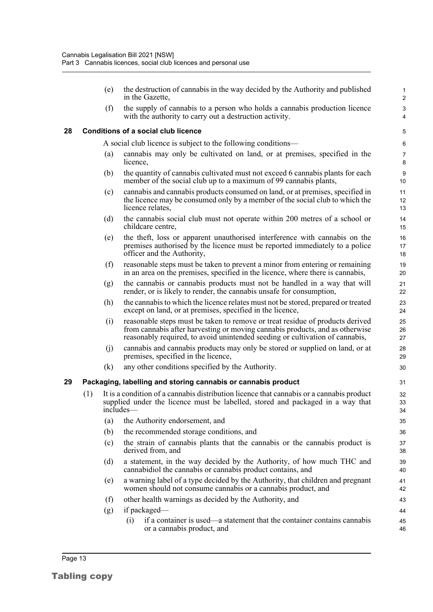(e) the destruction of cannabis in the way decided by the Authority and published in the Gazette,

(f) the supply of cannabis to a person who holds a cannabis production licence with the authority to carry out a destruction activity.

#### <span id="page-19-0"></span>**28 Conditions of a social club licence**

A social club licence is subject to the following conditions—

- (a) cannabis may only be cultivated on land, or at premises, specified in the licence,
- (b) the quantity of cannabis cultivated must not exceed 6 cannabis plants for each member of the social club up to a maximum of 99 cannabis plants,
- (c) cannabis and cannabis products consumed on land, or at premises, specified in the licence may be consumed only by a member of the social club to which the licence relates,
- (d) the cannabis social club must not operate within 200 metres of a school or childcare centre,
- (e) the theft, loss or apparent unauthorised interference with cannabis on the premises authorised by the licence must be reported immediately to a police officer and the Authority,
- (f) reasonable steps must be taken to prevent a minor from entering or remaining in an area on the premises, specified in the licence, where there is cannabis,
- (g) the cannabis or cannabis products must not be handled in a way that will render, or is likely to render, the cannabis unsafe for consumption,
- (h) the cannabis to which the licence relates must not be stored, prepared or treated except on land, or at premises, specified in the licence,
- (i) reasonable steps must be taken to remove or treat residue of products derived from cannabis after harvesting or moving cannabis products, and as otherwise reasonably required, to avoid unintended seeding or cultivation of cannabis,
- (j) cannabis and cannabis products may only be stored or supplied on land, or at premises, specified in the licence,
- (k) any other conditions specified by the Authority.

#### <span id="page-19-1"></span>**29 Packaging, labelling and storing cannabis or cannabis product**

- (1) It is a condition of a cannabis distribution licence that cannabis or a cannabis product supplied under the licence must be labelled, stored and packaged in a way that includes—
	- (a) the Authority endorsement, and
	- (b) the recommended storage conditions, and
	- (c) the strain of cannabis plants that the cannabis or the cannabis product is derived from, and
	- (d) a statement, in the way decided by the Authority, of how much THC and cannabidiol the cannabis or cannabis product contains, and
	- (e) a warning label of a type decided by the Authority, that children and pregnant women should not consume cannabis or a cannabis product, and
	- (f) other health warnings as decided by the Authority, and
	- (g) if packaged—
		- (i) if a container is used—a statement that the container contains cannabis or a cannabis product, and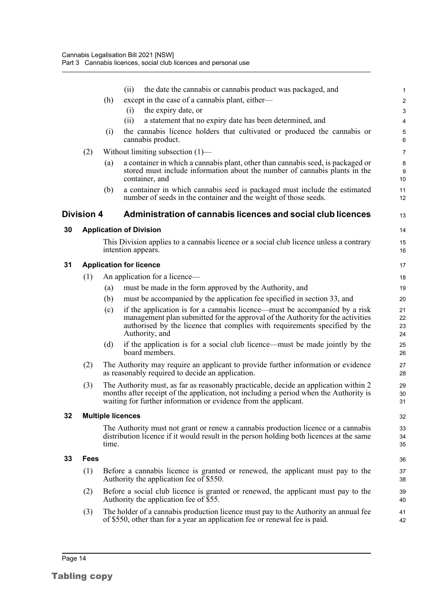<span id="page-20-4"></span><span id="page-20-3"></span><span id="page-20-2"></span><span id="page-20-1"></span><span id="page-20-0"></span>

|    |                   |       | the date the cannabis or cannabis product was packaged, and<br>(ii)                                                                                                                                                                                          | 1                       |
|----|-------------------|-------|--------------------------------------------------------------------------------------------------------------------------------------------------------------------------------------------------------------------------------------------------------------|-------------------------|
|    |                   | (h)   | except in the case of a cannabis plant, either—                                                                                                                                                                                                              | $\overline{\mathbf{c}}$ |
|    |                   |       | the expiry date, or<br>(i)                                                                                                                                                                                                                                   | 3                       |
|    |                   | (i)   | a statement that no expiry date has been determined, and<br>(ii)<br>the cannabis licence holders that cultivated or produced the cannabis or                                                                                                                 | 4                       |
|    |                   |       | cannabis product.                                                                                                                                                                                                                                            | 5<br>6                  |
|    | (2)               |       | Without limiting subsection $(1)$ —                                                                                                                                                                                                                          | 7                       |
|    |                   | (a)   | a container in which a cannabis plant, other than cannabis seed, is packaged or<br>stored must include information about the number of cannabis plants in the<br>container, and                                                                              | 8<br>9<br>10            |
|    |                   | (b)   | a container in which cannabis seed is packaged must include the estimated<br>number of seeds in the container and the weight of those seeds.                                                                                                                 | 11<br>12                |
|    | <b>Division 4</b> |       | Administration of cannabis licences and social club licences                                                                                                                                                                                                 | 13                      |
| 30 |                   |       | <b>Application of Division</b>                                                                                                                                                                                                                               | 14                      |
|    |                   |       | This Division applies to a cannabis licence or a social club licence unless a contrary<br>intention appears.                                                                                                                                                 | 15<br>16                |
| 31 |                   |       | <b>Application for licence</b>                                                                                                                                                                                                                               | 17                      |
|    | (1)               |       | An application for a licence-                                                                                                                                                                                                                                | 18                      |
|    |                   | (a)   | must be made in the form approved by the Authority, and                                                                                                                                                                                                      | 19                      |
|    |                   | (b)   | must be accompanied by the application fee specified in section 33, and                                                                                                                                                                                      | 20                      |
|    |                   | (c)   | if the application is for a cannabis licence—must be accompanied by a risk<br>management plan submitted for the approval of the Authority for the activities<br>authorised by the licence that complies with requirements specified by the<br>Authority, and | 21<br>22<br>23<br>24    |
|    |                   | (d)   | if the application is for a social club licence—must be made jointly by the<br>board members.                                                                                                                                                                | 25<br>26                |
|    | (2)               |       | The Authority may require an applicant to provide further information or evidence<br>as reasonably required to decide an application.                                                                                                                        | 27<br>28                |
|    | (3)               |       | The Authority must, as far as reasonably practicable, decide an application within 2<br>months after receipt of the application, not including a period when the Authority is<br>waiting for further information or evidence from the applicant.             | 29<br>30<br>31          |
| 32 |                   |       | <b>Multiple licences</b>                                                                                                                                                                                                                                     | 32                      |
|    |                   | time. | The Authority must not grant or renew a cannabis production licence or a cannabis<br>distribution licence if it would result in the person holding both licences at the same                                                                                 | 33<br>34<br>35          |
| 33 | Fees              |       |                                                                                                                                                                                                                                                              | 36                      |
|    | (1)               |       | Before a cannabis licence is granted or renewed, the applicant must pay to the<br>Authority the application fee of \$550.                                                                                                                                    | 37<br>38                |
|    | (2)               |       | Before a social club licence is granted or renewed, the applicant must pay to the<br>Authority the application fee of \$55.                                                                                                                                  | 39<br>40                |
|    | (3)               |       | The holder of a cannabis production licence must pay to the Authority an annual fee<br>of \$550, other than for a year an application fee or renewal fee is paid.                                                                                            | 41<br>42                |
|    |                   |       |                                                                                                                                                                                                                                                              |                         |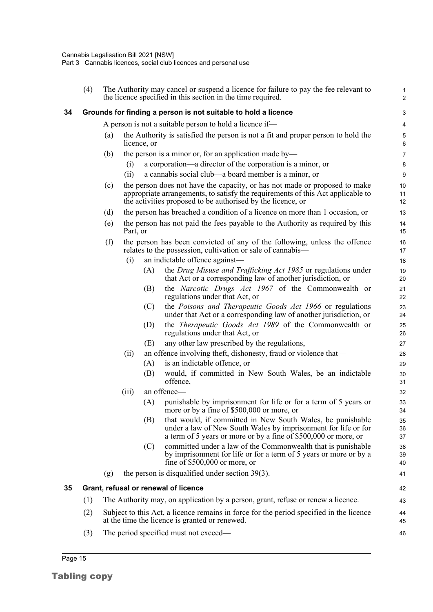<span id="page-21-0"></span>

|    | (4) |     |          |             | The Authority may cancel or suspend a licence for failure to pay the fee relevant to<br>the licence specified in this section in the time required.                                                                          | $\mathbf{1}$<br>2 |
|----|-----|-----|----------|-------------|------------------------------------------------------------------------------------------------------------------------------------------------------------------------------------------------------------------------------|-------------------|
| 34 |     |     |          |             | Grounds for finding a person is not suitable to hold a licence                                                                                                                                                               | 3                 |
|    |     |     |          |             | A person is not a suitable person to hold a licence if—                                                                                                                                                                      | 4                 |
|    |     | (a) |          | licence, or | the Authority is satisfied the person is not a fit and proper person to hold the                                                                                                                                             | $\mathbf 5$<br>6  |
|    |     | (b) |          |             | the person is a minor or, for an application made by—                                                                                                                                                                        | 7                 |
|    |     |     | (i)      |             | a corporation—a director of the corporation is a minor, or                                                                                                                                                                   | 8                 |
|    |     |     | (ii)     |             | a cannabis social club—a board member is a minor, or                                                                                                                                                                         | 9                 |
|    |     | (c) |          |             | the person does not have the capacity, or has not made or proposed to make<br>appropriate arrangements, to satisfy the requirements of this Act applicable to<br>the activities proposed to be authorised by the licence, or | 10<br>11<br>12    |
|    |     | (d) |          |             | the person has breached a condition of a licence on more than 1 occasion, or                                                                                                                                                 | 13                |
|    |     | (e) | Part, or |             | the person has not paid the fees payable to the Authority as required by this                                                                                                                                                | 14<br>15          |
|    |     | (f) |          |             | the person has been convicted of any of the following, unless the offence<br>relates to the possession, cultivation or sale of cannabis—                                                                                     | 16<br>17          |
|    |     |     | (i)      |             | an indictable offence against-                                                                                                                                                                                               | 18                |
|    |     |     |          | (A)         | the Drug Misuse and Trafficking Act 1985 or regulations under<br>that Act or a corresponding law of another jurisdiction, or                                                                                                 | 19<br>20          |
|    |     |     |          | (B)         | the Narcotic Drugs Act 1967 of the Commonwealth or<br>regulations under that Act, or                                                                                                                                         | 21<br>22          |
|    |     |     |          | (C)         | the Poisons and Therapeutic Goods Act 1966 or regulations<br>under that Act or a corresponding law of another jurisdiction, or                                                                                               | 23<br>24          |
|    |     |     |          | (D)         | the <i>Therapeutic Goods Act 1989</i> of the Commonwealth or<br>regulations under that Act, or                                                                                                                               | 25<br>26          |
|    |     |     |          | (E)         | any other law prescribed by the regulations,                                                                                                                                                                                 | 27                |
|    |     |     | (ii)     |             | an offence involving theft, dishonesty, fraud or violence that—                                                                                                                                                              | 28                |
|    |     |     |          | (A)         | is an indictable offence, or                                                                                                                                                                                                 | 29                |
|    |     |     |          | (B)         | would, if committed in New South Wales, be an indictable<br>offence,                                                                                                                                                         | 30<br>31          |
|    |     |     | (iii)    |             | an offence-                                                                                                                                                                                                                  | 32                |
|    |     |     |          | (A)         | punishable by imprisonment for life or for a term of 5 years or<br>more or by a fine of \$500,000 or more, or                                                                                                                | 33<br>34          |
|    |     |     |          | (B)         | that would, if committed in New South Wales, be punishable<br>under a law of New South Wales by imprisonment for life or for<br>a term of 5 years or more or by a fine of \$500,000 or more, or                              | 35<br>36<br>37    |
|    |     |     |          | (C)         | committed under a law of the Commonwealth that is punishable<br>by imprisonment for life or for a term of 5 years or more or by a<br>fine of $$500,000$ or more, or                                                          | 38<br>39<br>40    |
|    |     | (g) |          |             | the person is disqualified under section $39(3)$ .                                                                                                                                                                           | 41                |
| 35 |     |     |          |             | Grant, refusal or renewal of licence                                                                                                                                                                                         | 42                |
|    | (1) |     |          |             | The Authority may, on application by a person, grant, refuse or renew a licence.                                                                                                                                             | 43                |
|    | (2) |     |          |             | Subject to this Act, a licence remains in force for the period specified in the licence<br>at the time the licence is granted or renewed.                                                                                    | 44<br>45          |
|    | (3) |     |          |             | The period specified must not exceed—                                                                                                                                                                                        | 46                |

<span id="page-21-1"></span>Tabling copy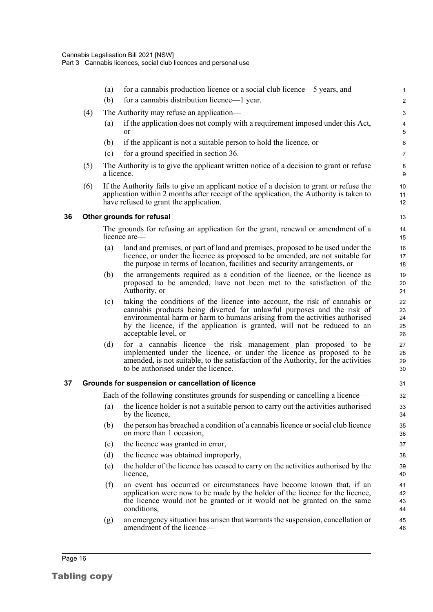<span id="page-22-1"></span><span id="page-22-0"></span>

|    |     | (a)               | for a cannabis production licence or a social club licence—5 years, and                                                                                                                                                                                                                                                                 | $\mathbf{1}$               |
|----|-----|-------------------|-----------------------------------------------------------------------------------------------------------------------------------------------------------------------------------------------------------------------------------------------------------------------------------------------------------------------------------------|----------------------------|
|    |     | (b)               | for a cannabis distribution licence—1 year.                                                                                                                                                                                                                                                                                             | $\overline{c}$             |
|    | (4) |                   | The Authority may refuse an application—                                                                                                                                                                                                                                                                                                | $\sqrt{3}$                 |
|    |     | $\left( a\right)$ | if the application does not comply with a requirement imposed under this Act,<br>or                                                                                                                                                                                                                                                     | 4<br>5                     |
|    |     | (b)               | if the applicant is not a suitable person to hold the licence, or                                                                                                                                                                                                                                                                       | $\,6\,$                    |
|    |     | (c)               | for a ground specified in section 36.                                                                                                                                                                                                                                                                                                   | $\overline{7}$             |
|    | (5) | a licence.        | The Authority is to give the applicant written notice of a decision to grant or refuse                                                                                                                                                                                                                                                  | $\bf 8$<br>9               |
|    | (6) |                   | If the Authority fails to give an applicant notice of a decision to grant or refuse the<br>application within 2 months after receipt of the application, the Authority is taken to<br>have refused to grant the application.                                                                                                            | 10<br>11<br>12             |
| 36 |     |                   | Other grounds for refusal                                                                                                                                                                                                                                                                                                               | 13                         |
|    |     |                   | The grounds for refusing an application for the grant, renewal or amendment of a<br>licence are—                                                                                                                                                                                                                                        | 14<br>15                   |
|    |     | (a)               | land and premises, or part of land and premises, proposed to be used under the<br>licence, or under the licence as proposed to be amended, are not suitable for                                                                                                                                                                         | 16<br>17                   |
|    |     |                   | the purpose in terms of location, facilities and security arrangements, or                                                                                                                                                                                                                                                              | 18                         |
|    |     | (b)               | the arrangements required as a condition of the licence, or the licence as<br>proposed to be amended, have not been met to the satisfaction of the<br>Authority, or                                                                                                                                                                     | 19<br>20<br>21             |
|    |     | (c)               | taking the conditions of the licence into account, the risk of cannabis or<br>cannabis products being diverted for unlawful purposes and the risk of<br>environmental harm or harm to humans arising from the activities authorised<br>by the licence, if the application is granted, will not be reduced to an<br>acceptable level, or | 22<br>23<br>24<br>25<br>26 |
|    |     | (d)               | for a cannabis licence—the risk management plan proposed to be<br>implemented under the licence, or under the licence as proposed to be<br>amended, is not suitable, to the satisfaction of the Authority, for the activities<br>to be authorised under the licence.                                                                    | 27<br>28<br>29<br>30       |
| 37 |     |                   | Grounds for suspension or cancellation of licence                                                                                                                                                                                                                                                                                       | 31                         |
|    |     |                   | Each of the following constitutes grounds for suspending or cancelling a licence—                                                                                                                                                                                                                                                       | 32                         |
|    |     | (a)               | the licence holder is not a suitable person to carry out the activities authorised<br>by the licence,                                                                                                                                                                                                                                   | 33<br>34                   |
|    |     | (b)               | the person has breached a condition of a cannabis licence or social club licence<br>on more than 1 occasion,                                                                                                                                                                                                                            | 35<br>36                   |
|    |     | (c)               | the licence was granted in error,                                                                                                                                                                                                                                                                                                       | 37                         |
|    |     | (d)               | the licence was obtained improperly,                                                                                                                                                                                                                                                                                                    | 38                         |
|    |     | (e)               | the holder of the licence has ceased to carry on the activities authorised by the<br>licence,                                                                                                                                                                                                                                           | 39<br>40                   |
|    |     | (f)               | an event has occurred or circumstances have become known that, if an<br>application were now to be made by the holder of the licence for the licence,<br>the licence would not be granted or it would not be granted on the same<br>conditions,                                                                                         | 41<br>42<br>43<br>44       |
|    |     | (g)               | an emergency situation has arisen that warrants the suspension, cancellation or<br>amendment of the licence-                                                                                                                                                                                                                            | 45<br>46                   |
|    |     |                   |                                                                                                                                                                                                                                                                                                                                         |                            |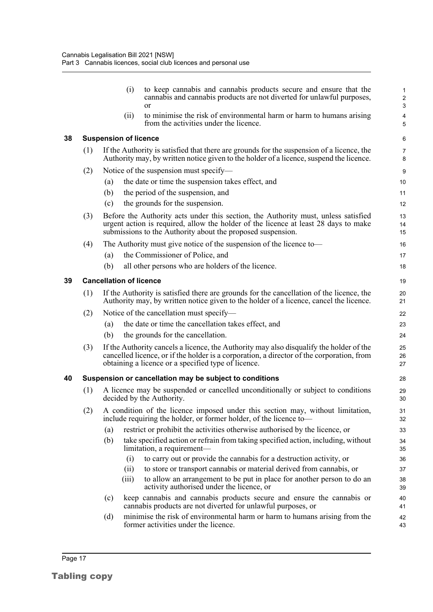<span id="page-23-2"></span><span id="page-23-1"></span><span id="page-23-0"></span>

|    |     | (i)<br><sub>or</sub>                     | to keep cannabis and cannabis products secure and ensure that the<br>cannabis and cannabis products are not diverted for unlawful purposes,                                                                                                 | $\mathbf{1}$<br>$\sqrt{2}$<br>$\mathbf{3}$ |
|----|-----|------------------------------------------|---------------------------------------------------------------------------------------------------------------------------------------------------------------------------------------------------------------------------------------------|--------------------------------------------|
|    |     | (ii)                                     | to minimise the risk of environmental harm or harm to humans arising<br>from the activities under the licence.                                                                                                                              | 4<br>5                                     |
| 38 |     | <b>Suspension of licence</b>             |                                                                                                                                                                                                                                             | 6                                          |
|    | (1) |                                          | If the Authority is satisfied that there are grounds for the suspension of a licence, the<br>Authority may, by written notice given to the holder of a licence, suspend the licence.                                                        | 7<br>8                                     |
|    | (2) | Notice of the suspension must specify—   |                                                                                                                                                                                                                                             | 9                                          |
|    |     | (a)                                      | the date or time the suspension takes effect, and                                                                                                                                                                                           | 10                                         |
|    |     | (b)<br>the period of the suspension, and |                                                                                                                                                                                                                                             | 11                                         |
|    |     | the grounds for the suspension.<br>(c)   |                                                                                                                                                                                                                                             | 12                                         |
|    | (3) |                                          | Before the Authority acts under this section, the Authority must, unless satisfied<br>urgent action is required, allow the holder of the licence at least 28 days to make<br>submissions to the Authority about the proposed suspension.    | 13<br>14<br>15                             |
|    | (4) |                                          | The Authority must give notice of the suspension of the licence to-                                                                                                                                                                         | 16                                         |
|    |     | the Commissioner of Police, and<br>(a)   |                                                                                                                                                                                                                                             | 17                                         |
|    |     | (b)                                      | all other persons who are holders of the licence.                                                                                                                                                                                           | 18                                         |
| 39 |     | <b>Cancellation of licence</b>           |                                                                                                                                                                                                                                             | 19                                         |
|    | (1) |                                          | If the Authority is satisfied there are grounds for the cancellation of the licence, the<br>Authority may, by written notice given to the holder of a licence, cancel the licence.                                                          | 20<br>21                                   |
|    | (2) | Notice of the cancellation must specify— |                                                                                                                                                                                                                                             | 22                                         |
|    |     | (a)                                      | the date or time the cancellation takes effect, and                                                                                                                                                                                         | 23                                         |
|    |     | the grounds for the cancellation.<br>(b) |                                                                                                                                                                                                                                             | 24                                         |
|    | (3) |                                          | If the Authority cancels a licence, the Authority may also disqualify the holder of the<br>cancelled licence, or if the holder is a corporation, a director of the corporation, from<br>obtaining a licence or a specified type of licence. | 25<br>26<br>27                             |
| 40 |     |                                          | Suspension or cancellation may be subject to conditions                                                                                                                                                                                     | 28                                         |
|    | (1) | decided by the Authority.                | A licence may be suspended or cancelled unconditionally or subject to conditions                                                                                                                                                            | 29<br>30                                   |
|    | (2) |                                          | A condition of the licence imposed under this section may, without limitation,<br>include requiring the holder, or former holder, of the licence to-                                                                                        | 31<br>32                                   |
|    |     | (a)                                      | restrict or prohibit the activities otherwise authorised by the licence, or                                                                                                                                                                 | 33                                         |
|    |     | (b)<br>limitation, a requirement—        | take specified action or refrain from taking specified action, including, without                                                                                                                                                           | 34<br>35                                   |
|    |     | (i)                                      | to carry out or provide the cannabis for a destruction activity, or                                                                                                                                                                         | 36                                         |
|    |     | (ii)                                     | to store or transport cannabis or material derived from cannabis, or                                                                                                                                                                        | 37                                         |
|    |     | (iii)                                    | to allow an arrangement to be put in place for another person to do an<br>activity authorised under the licence, or                                                                                                                         | 38<br>39                                   |
|    |     | (c)                                      | keep cannabis and cannabis products secure and ensure the cannabis or<br>cannabis products are not diverted for unlawful purposes, or                                                                                                       | 40<br>41                                   |
|    |     | (d)                                      | minimise the risk of environmental harm or harm to humans arising from the<br>former activities under the licence.                                                                                                                          | 42<br>43                                   |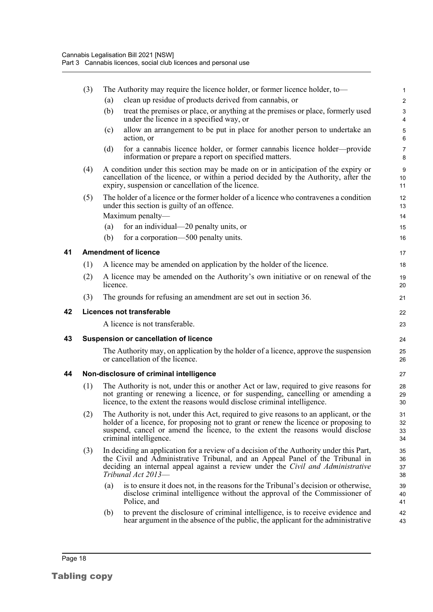<span id="page-24-3"></span><span id="page-24-2"></span><span id="page-24-1"></span><span id="page-24-0"></span>

|    | (3) | The Authority may require the licence holder, or former licence holder, to-                                                                                                                                                                                                                | 1                    |
|----|-----|--------------------------------------------------------------------------------------------------------------------------------------------------------------------------------------------------------------------------------------------------------------------------------------------|----------------------|
|    |     | clean up residue of products derived from cannabis, or<br>(a)                                                                                                                                                                                                                              | $\overline{2}$       |
|    |     | (b)<br>treat the premises or place, or anything at the premises or place, formerly used<br>under the licence in a specified way, or                                                                                                                                                        | 3<br>4               |
|    |     | allow an arrangement to be put in place for another person to undertake an<br>(c)<br>action, or                                                                                                                                                                                            | 5<br>6               |
|    |     | for a cannabis licence holder, or former cannabis licence holder—provide<br>(d)<br>information or prepare a report on specified matters.                                                                                                                                                   | $\overline{7}$<br>8  |
|    | (4) | A condition under this section may be made on or in anticipation of the expiry or<br>cancellation of the licence, or within a period decided by the Authority, after the<br>expiry, suspension or cancellation of the licence.                                                             | 9<br>10<br>11        |
|    | (5) | The holder of a licence or the former holder of a licence who contravenes a condition<br>under this section is guilty of an offence.                                                                                                                                                       | 12<br>13             |
|    |     | Maximum penalty-                                                                                                                                                                                                                                                                           | 14                   |
|    |     | for an individual—20 penalty units, or<br>(a)                                                                                                                                                                                                                                              | 15                   |
|    |     | for a corporation—500 penalty units.<br>(b)                                                                                                                                                                                                                                                | 16                   |
| 41 |     | <b>Amendment of licence</b>                                                                                                                                                                                                                                                                | 17                   |
|    | (1) | A licence may be amended on application by the holder of the licence.                                                                                                                                                                                                                      | 18                   |
|    | (2) | A licence may be amended on the Authority's own initiative or on renewal of the<br>licence.                                                                                                                                                                                                | 19<br>20             |
|    | (3) | The grounds for refusing an amendment are set out in section 36.                                                                                                                                                                                                                           | 21                   |
| 42 |     | <b>Licences not transferable</b>                                                                                                                                                                                                                                                           | 22                   |
|    |     | A licence is not transferable.                                                                                                                                                                                                                                                             | 23                   |
| 43 |     | <b>Suspension or cancellation of licence</b>                                                                                                                                                                                                                                               | 24                   |
|    |     | The Authority may, on application by the holder of a licence, approve the suspension<br>or cancellation of the licence.                                                                                                                                                                    | 25<br>26             |
| 44 |     | Non-disclosure of criminal intelligence                                                                                                                                                                                                                                                    | 27                   |
|    | (1) | The Authority is not, under this or another Act or law, required to give reasons for<br>not granting or renewing a licence, or for suspending, cancelling or amending a<br>licence, to the extent the reasons would disclose criminal intelligence.                                        | 28<br>29<br>30       |
|    | (2) | The Authority is not, under this Act, required to give reasons to an applicant, or the<br>holder of a licence, for proposing not to grant or renew the licence or proposing to<br>suspend, cancel or amend the licence, to the extent the reasons would disclose<br>criminal intelligence. | 31<br>32<br>33<br>34 |
|    |     |                                                                                                                                                                                                                                                                                            |                      |
|    | (3) | In deciding an application for a review of a decision of the Authority under this Part,<br>the Civil and Administrative Tribunal, and an Appeal Panel of the Tribunal in<br>deciding an internal appeal against a review under the Civil and Administrative<br>Tribunal Act 2013-          | 35<br>36<br>37<br>38 |
|    |     | is to ensure it does not, in the reasons for the Tribunal's decision or otherwise,<br>(a)<br>disclose criminal intelligence without the approval of the Commissioner of<br>Police, and                                                                                                     | 39<br>40<br>41       |
|    |     | to prevent the disclosure of criminal intelligence, is to receive evidence and<br>(b)<br>hear argument in the absence of the public, the applicant for the administrative                                                                                                                  | 42<br>43             |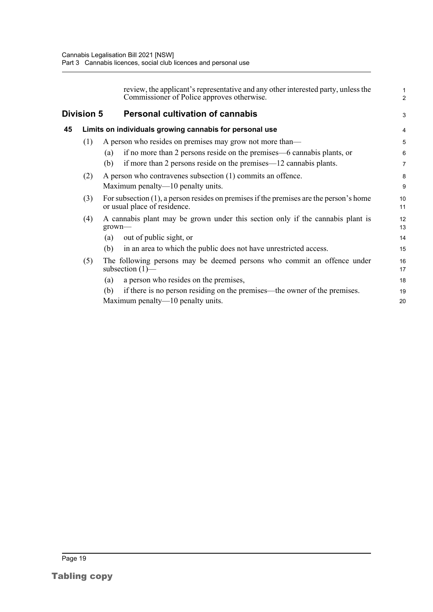<span id="page-25-1"></span><span id="page-25-0"></span>

|    |                   | review, the applicant's representative and any other interested party, unless the<br>Commissioner of Police approves otherwise. | 1<br>$\overline{a}$ |
|----|-------------------|---------------------------------------------------------------------------------------------------------------------------------|---------------------|
|    | <b>Division 5</b> | <b>Personal cultivation of cannabis</b>                                                                                         | 3                   |
| 45 |                   | Limits on individuals growing cannabis for personal use                                                                         | 4                   |
|    | (1)               | A person who resides on premises may grow not more than—                                                                        | 5                   |
|    |                   | if no more than 2 persons reside on the premises—6 cannabis plants, or<br>(a)                                                   | 6                   |
|    |                   | if more than 2 persons reside on the premises—12 cannabis plants.<br>(b)                                                        | 7                   |
|    | (2)               | A person who contravenes subsection (1) commits an offence.                                                                     | 8                   |
|    |                   | Maximum penalty—10 penalty units.                                                                                               | 9                   |
|    | (3)               | For subsection $(1)$ , a person resides on premises if the premises are the person's home<br>or usual place of residence.       | 10<br>11            |
|    | (4)               | A cannabis plant may be grown under this section only if the cannabis plant is<br>$grown$ —                                     | 12<br>13            |
|    |                   | out of public sight, or<br>(a)                                                                                                  | 14                  |
|    |                   | in an area to which the public does not have unrestricted access.<br>(b)                                                        | 15                  |
|    | (5)               | The following persons may be deemed persons who commit an offence under<br>subsection $(1)$ —                                   | 16<br>17            |
|    |                   | a person who resides on the premises,<br>(a)                                                                                    | 18                  |
|    |                   | if there is no person residing on the premises—the owner of the premises.<br>(b)                                                | 19                  |
|    |                   | Maximum penalty—10 penalty units.                                                                                               | 20                  |
|    |                   |                                                                                                                                 |                     |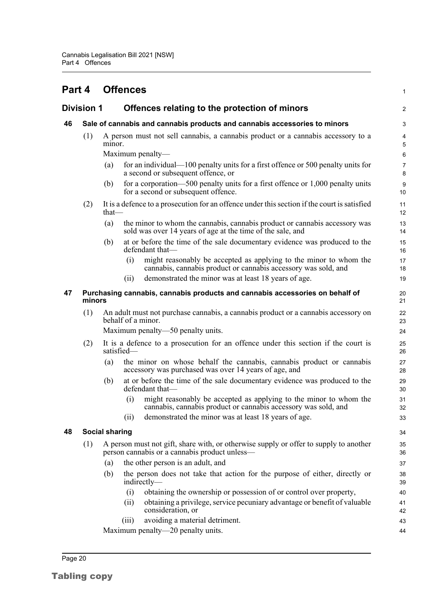<span id="page-26-4"></span><span id="page-26-3"></span><span id="page-26-2"></span><span id="page-26-1"></span><span id="page-26-0"></span>

| Part 4 |                                                                                        |                       | <b>Offences</b>                                                                                                                            | 1              |  |  |  |  |
|--------|----------------------------------------------------------------------------------------|-----------------------|--------------------------------------------------------------------------------------------------------------------------------------------|----------------|--|--|--|--|
|        | <b>Division 1</b>                                                                      |                       | Offences relating to the protection of minors                                                                                              | $\overline{c}$ |  |  |  |  |
| 46     |                                                                                        |                       | Sale of cannabis and cannabis products and cannabis accessories to minors                                                                  | 3              |  |  |  |  |
|        | (1)                                                                                    | minor.                | A person must not sell cannabis, a cannabis product or a cannabis accessory to a                                                           | 4<br>5         |  |  |  |  |
|        |                                                                                        |                       | Maximum penalty—                                                                                                                           | 6              |  |  |  |  |
|        |                                                                                        | (a)                   | for an individual— $100$ penalty units for a first offence or 500 penalty units for<br>a second or subsequent offence, or                  | 7<br>8         |  |  |  |  |
|        |                                                                                        | (b)                   | for a corporation—500 penalty units for a first offence or $1,000$ penalty units<br>for a second or subsequent offence.                    | 9<br>10        |  |  |  |  |
|        | (2)                                                                                    | $that$ —              | It is a defence to a prosecution for an offence under this section if the court is satisfied                                               | 11<br>12       |  |  |  |  |
|        |                                                                                        | (a)                   | the minor to whom the cannabis, cannabis product or cannabis accessory was<br>sold was over 14 years of age at the time of the sale, and   | 13<br>14       |  |  |  |  |
|        |                                                                                        | (b)                   | at or before the time of the sale documentary evidence was produced to the<br>defendant that-                                              | 15<br>16       |  |  |  |  |
|        |                                                                                        |                       | might reasonably be accepted as applying to the minor to whom the<br>(i)<br>cannabis, cannabis product or cannabis accessory was sold, and | 17<br>18       |  |  |  |  |
|        |                                                                                        |                       | demonstrated the minor was at least 18 years of age.<br>(11)                                                                               | 19             |  |  |  |  |
| 47     | Purchasing cannabis, cannabis products and cannabis accessories on behalf of<br>minors |                       |                                                                                                                                            |                |  |  |  |  |
|        | (1)                                                                                    |                       | An adult must not purchase cannabis, a cannabis product or a cannabis accessory on<br>behalf of a minor.                                   | 22<br>23       |  |  |  |  |
|        |                                                                                        |                       | Maximum penalty—50 penalty units.                                                                                                          | 24             |  |  |  |  |
|        | (2)                                                                                    |                       | It is a defence to a prosecution for an offence under this section if the court is<br>satisfied-                                           | 25<br>26       |  |  |  |  |
|        |                                                                                        | (a)                   | the minor on whose behalf the cannabis, cannabis product or cannabis<br>accessory was purchased was over 14 years of age, and              | 27<br>28       |  |  |  |  |
|        |                                                                                        | (b)                   | at or before the time of the sale documentary evidence was produced to the<br>defendant that-                                              | 29<br>30       |  |  |  |  |
|        |                                                                                        |                       | might reasonably be accepted as applying to the minor to whom the<br>(i)<br>cannabis, cannabis product or cannabis accessory was sold, and | 31<br>32       |  |  |  |  |
|        |                                                                                        |                       | demonstrated the minor was at least 18 years of age.<br>(ii)                                                                               | 33             |  |  |  |  |
| 48     |                                                                                        | <b>Social sharing</b> |                                                                                                                                            | 34             |  |  |  |  |
|        | (1)                                                                                    |                       | A person must not gift, share with, or otherwise supply or offer to supply to another<br>person cannabis or a cannabis product unless—     | 35<br>36       |  |  |  |  |
|        |                                                                                        | (a)                   | the other person is an adult, and                                                                                                          | 37             |  |  |  |  |
|        |                                                                                        | (b)                   | the person does not take that action for the purpose of either, directly or<br>indirectly—                                                 | 38<br>39       |  |  |  |  |
|        |                                                                                        |                       | obtaining the ownership or possession of or control over property,<br>(i)                                                                  | 40             |  |  |  |  |
|        |                                                                                        |                       | obtaining a privilege, service pecuniary advantage or benefit of valuable<br>(ii)<br>consideration, or                                     | 41<br>42       |  |  |  |  |
|        |                                                                                        |                       | avoiding a material detriment.<br>(iii)                                                                                                    | 43             |  |  |  |  |
|        |                                                                                        |                       | Maximum penalty—20 penalty units.                                                                                                          | 44             |  |  |  |  |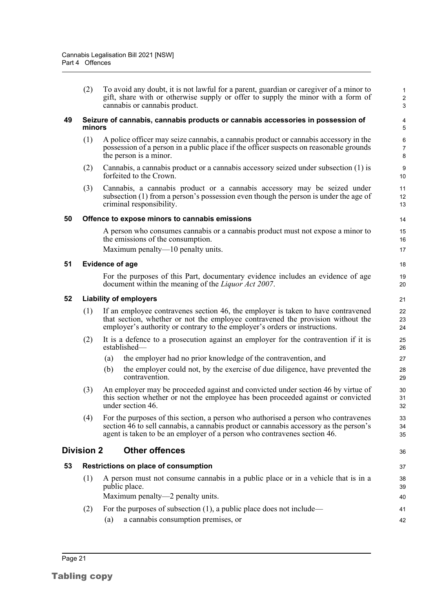(2) To avoid any doubt, it is not lawful for a parent, guardian or caregiver of a minor to gift, share with or otherwise supply or offer to supply the minor with a form of cannabis or cannabis product.

36

#### <span id="page-27-0"></span>**49 Seizure of cannabis, cannabis products or cannabis accessories in possession of minors**

- (1) A police officer may seize cannabis, a cannabis product or cannabis accessory in the possession of a person in a public place if the officer suspects on reasonable grounds the person is a minor.
- (2) Cannabis, a cannabis product or a cannabis accessory seized under subsection (1) is forfeited to the Crown.
- (3) Cannabis, a cannabis product or a cannabis accessory may be seized under subsection (1) from a person's possession even though the person is under the age of criminal responsibility.

#### <span id="page-27-1"></span>**50 Offence to expose minors to cannabis emissions**

A person who consumes cannabis or a cannabis product must not expose a minor to the emissions of the consumption.

Maximum penalty—10 penalty units.

#### <span id="page-27-2"></span>**51 Evidence of age**

For the purposes of this Part, documentary evidence includes an evidence of age document within the meaning of the *Liquor Act 2007*.

#### <span id="page-27-3"></span>**52 Liability of employers**

- (1) If an employee contravenes section 46, the employer is taken to have contravened that section, whether or not the employee contravened the provision without the employer's authority or contrary to the employer's orders or instructions.
- (2) It is a defence to a prosecution against an employer for the contravention if it is established—
	- (a) the employer had no prior knowledge of the contravention, and
	- (b) the employer could not, by the exercise of due diligence, have prevented the contravention.
- (3) An employer may be proceeded against and convicted under section 46 by virtue of this section whether or not the employee has been proceeded against or convicted under section 46.
- (4) For the purposes of this section, a person who authorised a person who contravenes section 46 to sell cannabis, a cannabis product or cannabis accessory as the person's agent is taken to be an employer of a person who contravenes section 46.

#### <span id="page-27-4"></span>**Division 2 Other offences**

### <span id="page-27-5"></span>**53 Restrictions on place of consumption** (1) A person must not consume cannabis in a public place or in a vehicle that is in a public place. Maximum penalty—2 penalty units.

- (2) For the purposes of subsection (1), a public place does not include— (a) a cannabis consumption premises, or 41 42
- Page 21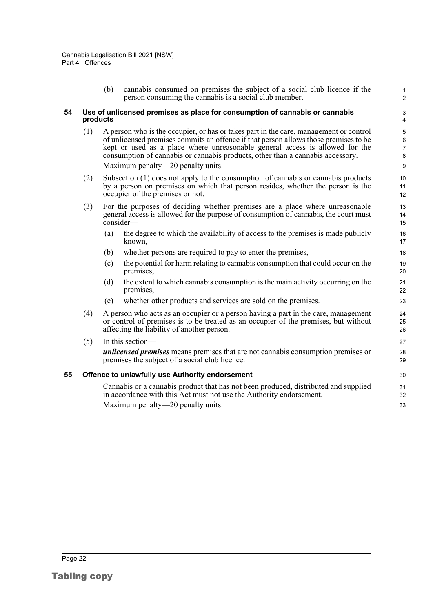<span id="page-28-1"></span><span id="page-28-0"></span>(b) cannabis consumed on premises the subject of a social club licence if the person consuming the cannabis is a social club member. **54 Use of unlicensed premises as place for consumption of cannabis or cannabis products** (1) A person who is the occupier, or has or takes part in the care, management or control of unlicensed premises commits an offence if that person allows those premises to be kept or used as a place where unreasonable general access is allowed for the consumption of cannabis or cannabis products, other than a cannabis accessory. Maximum penalty—20 penalty units. (2) Subsection (1) does not apply to the consumption of cannabis or cannabis products by a person on premises on which that person resides, whether the person is the occupier of the premises or not. (3) For the purposes of deciding whether premises are a place where unreasonable general access is allowed for the purpose of consumption of cannabis, the court must consider— (a) the degree to which the availability of access to the premises is made publicly known, (b) whether persons are required to pay to enter the premises, (c) the potential for harm relating to cannabis consumption that could occur on the premises, (d) the extent to which cannabis consumption is the main activity occurring on the premises, (e) whether other products and services are sold on the premises. (4) A person who acts as an occupier or a person having a part in the care, management or control of premises is to be treated as an occupier of the premises, but without affecting the liability of another person. (5) In this section *unlicensed premises* means premises that are not cannabis consumption premises or premises the subject of a social club licence. **55 Offence to unlawfully use Authority endorsement** Cannabis or a cannabis product that has not been produced, distributed and supplied in accordance with this Act must not use the Authority endorsement. Maximum penalty—20 penalty units. 1 2 3 4 5 6 7 8 9 10 11 12 13 14 15 16 17 18 19 20 21 22 23 24 25 26 27 28 29 30 31 32 33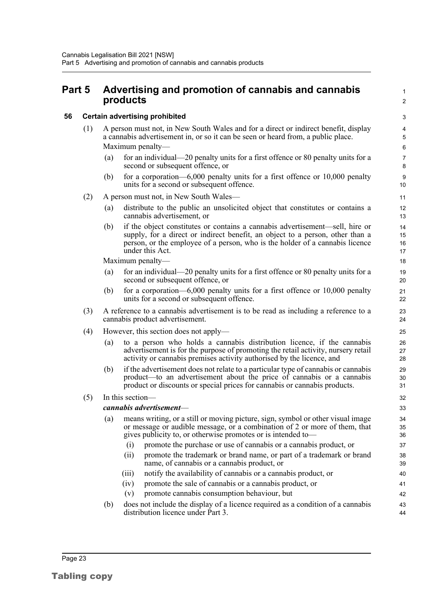### <span id="page-29-0"></span>**Part 5 Advertising and promotion of cannabis and cannabis products**

#### <span id="page-29-1"></span>**56 Certain advertising prohibited**

- (1) A person must not, in New South Wales and for a direct or indirect benefit, display a cannabis advertisement in, or so it can be seen or heard from, a public place. Maximum penalty—
	- (a) for an individual—20 penalty units for a first offence or 80 penalty units for a second or subsequent offence, or

1  $\overline{2}$ 

40

42 43 44

(b) for a corporation—6,000 penalty units for a first offence or 10,000 penalty units for a second or subsequent offence.

#### (2) A person must not, in New South Wales—

- (a) distribute to the public an unsolicited object that constitutes or contains a cannabis advertisement, or
- (b) if the object constitutes or contains a cannabis advertisement—sell, hire or supply, for a direct or indirect benefit, an object to a person, other than a person, or the employee of a person, who is the holder of a cannabis licence under this Act.

Maximum penalty—

- (a) for an individual—20 penalty units for a first offence or 80 penalty units for a second or subsequent offence, or
- (b) for a corporation—6,000 penalty units for a first offence or 10,000 penalty units for a second or subsequent offence.
- (3) A reference to a cannabis advertisement is to be read as including a reference to a cannabis product advertisement.
- (4) However, this section does not apply—
	- (a) to a person who holds a cannabis distribution licence, if the cannabis advertisement is for the purpose of promoting the retail activity, nursery retail activity or cannabis premises activity authorised by the licence, and
	- (b) if the advertisement does not relate to a particular type of cannabis or cannabis product—to an advertisement about the price of cannabis or a cannabis product or discounts or special prices for cannabis or cannabis products.

#### (5) In this section—

#### *cannabis advertisement*—

- (a) means writing, or a still or moving picture, sign, symbol or other visual image or message or audible message, or a combination of 2 or more of them, that gives publicity to, or otherwise promotes or is intended to— (i) promote the purchase or use of cannabis or a cannabis product, or (ii) promote the trademark or brand name, or part of a trademark or brand name, of cannabis or a cannabis product, or 34 35 36 37 38 39
	- (iii) notify the availability of cannabis or a cannabis product, or
	- (iv) promote the sale of cannabis or a cannabis product, or 41
	- (v) promote cannabis consumption behaviour, but
- (b) does not include the display of a licence required as a condition of a cannabis distribution licence under Part 3.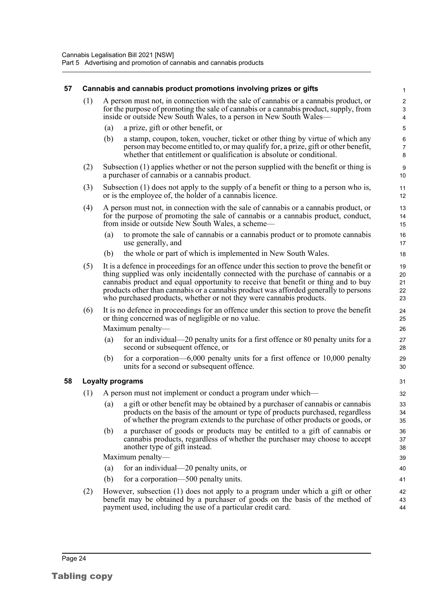#### <span id="page-30-1"></span><span id="page-30-0"></span>**57 Cannabis and cannabis product promotions involving prizes or gifts** (1) A person must not, in connection with the sale of cannabis or a cannabis product, or for the purpose of promoting the sale of cannabis or a cannabis product, supply, from inside or outside New South Wales, to a person in New South Wales— (a) a prize, gift or other benefit, or (b) a stamp, coupon, token, voucher, ticket or other thing by virtue of which any person may become entitled to, or may qualify for, a prize, gift or other benefit, whether that entitlement or qualification is absolute or conditional. (2) Subsection (1) applies whether or not the person supplied with the benefit or thing is a purchaser of cannabis or a cannabis product. (3) Subsection (1) does not apply to the supply of a benefit or thing to a person who is, or is the employee of, the holder of a cannabis licence. (4) A person must not, in connection with the sale of cannabis or a cannabis product, or for the purpose of promoting the sale of cannabis or a cannabis product, conduct, from inside or outside New South Wales, a scheme— (a) to promote the sale of cannabis or a cannabis product or to promote cannabis use generally, and (b) the whole or part of which is implemented in New South Wales. (5) It is a defence in proceedings for an offence under this section to prove the benefit or thing supplied was only incidentally connected with the purchase of cannabis or a cannabis product and equal opportunity to receive that benefit or thing and to buy products other than cannabis or a cannabis product was afforded generally to persons who purchased products, whether or not they were cannabis products. (6) It is no defence in proceedings for an offence under this section to prove the benefit or thing concerned was of negligible or no value. Maximum penalty— (a) for an individual—20 penalty units for a first offence or 80 penalty units for a second or subsequent offence, or (b) for a corporation—6,000 penalty units for a first offence or 10,000 penalty units for a second or subsequent offence. **58 Loyalty programs** (1) A person must not implement or conduct a program under which— (a) a gift or other benefit may be obtained by a purchaser of cannabis or cannabis products on the basis of the amount or type of products purchased, regardless of whether the program extends to the purchase of other products or goods, or (b) a purchaser of goods or products may be entitled to a gift of cannabis or cannabis products, regardless of whether the purchaser may choose to accept another type of gift instead. Maximum penalty— (a) for an individual—20 penalty units, or (b) for a corporation—500 penalty units. (2) However, subsection (1) does not apply to a program under which a gift or other benefit may be obtained by a purchaser of goods on the basis of the method of payment used, including the use of a particular credit card. 1 2 3 4 5 6 7 8 9 10 11 12 13 14 15 16 17 18 19 20 21 22 23  $24$ 25 26 27 28 29 30 31 32 33 34 35 36 37 38 39 40 41 42 43 44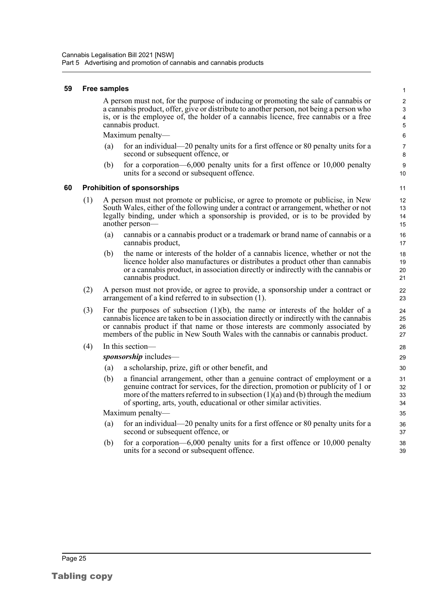#### <span id="page-31-0"></span>**59 Free samples**

A person must not, for the purpose of inducing or promoting the sale of cannabis or a cannabis product, offer, give or distribute to another person, not being a person who is, or is the employee of, the holder of a cannabis licence, free cannabis or a free cannabis product.

Maximum penalty—

- (a) for an individual—20 penalty units for a first offence or 80 penalty units for a second or subsequent offence, or
- (b) for a corporation—6,000 penalty units for a first offence or 10,000 penalty units for a second or subsequent offence.

#### <span id="page-31-1"></span>**60 Prohibition of sponsorships**

- (1) A person must not promote or publicise, or agree to promote or publicise, in New South Wales, either of the following under a contract or arrangement, whether or not legally binding, under which a sponsorship is provided, or is to be provided by another person—
	- (a) cannabis or a cannabis product or a trademark or brand name of cannabis or a cannabis product,
	- (b) the name or interests of the holder of a cannabis licence, whether or not the licence holder also manufactures or distributes a product other than cannabis or a cannabis product, in association directly or indirectly with the cannabis or cannabis product.
- (2) A person must not provide, or agree to provide, a sponsorship under a contract or arrangement of a kind referred to in subsection (1).
- (3) For the purposes of subsection (1)(b), the name or interests of the holder of a cannabis licence are taken to be in association directly or indirectly with the cannabis or cannabis product if that name or those interests are commonly associated by members of the public in New South Wales with the cannabis or cannabis product.
- (4) In this section—

*sponsorship* includes—

- (a) a scholarship, prize, gift or other benefit, and
- (b) a financial arrangement, other than a genuine contract of employment or a genuine contract for services, for the direction, promotion or publicity of 1 or more of the matters referred to in subsection  $(1)(a)$  and  $(b)$  through the medium of sporting, arts, youth, educational or other similar activities.

Maximum penalty—

- (a) for an individual—20 penalty units for a first offence or 80 penalty units for a second or subsequent offence, or
- (b) for a corporation—6,000 penalty units for a first offence or 10,000 penalty units for a second or subsequent offence.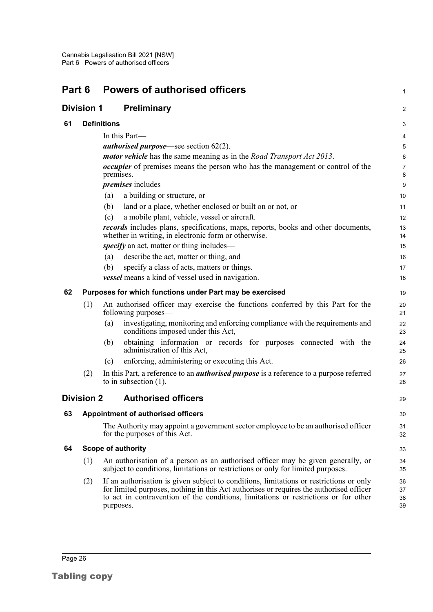<span id="page-32-6"></span><span id="page-32-5"></span><span id="page-32-4"></span><span id="page-32-3"></span><span id="page-32-2"></span><span id="page-32-1"></span><span id="page-32-0"></span>

| Part 6 |                   | <b>Powers of authorised officers</b>                                                                                                                                                                                                                                                   | 1                    |
|--------|-------------------|----------------------------------------------------------------------------------------------------------------------------------------------------------------------------------------------------------------------------------------------------------------------------------------|----------------------|
|        | <b>Division 1</b> | <b>Preliminary</b>                                                                                                                                                                                                                                                                     | 2                    |
| 61     |                   | <b>Definitions</b>                                                                                                                                                                                                                                                                     | 3                    |
|        |                   | In this Part-                                                                                                                                                                                                                                                                          | 4                    |
|        |                   | <i>authorised purpose</i> —see section $62(2)$ .                                                                                                                                                                                                                                       | 5                    |
|        |                   | <i>motor vehicle</i> has the same meaning as in the <i>Road Transport Act 2013</i> .                                                                                                                                                                                                   | 6                    |
|        |                   | <i>occupier</i> of premises means the person who has the management or control of the<br>premises.                                                                                                                                                                                     | 7<br>8               |
|        |                   | <i>premises</i> includes-                                                                                                                                                                                                                                                              | 9                    |
|        |                   | a building or structure, or<br>(a)                                                                                                                                                                                                                                                     | 10                   |
|        |                   | (b)<br>land or a place, whether enclosed or built on or not, or                                                                                                                                                                                                                        | 11                   |
|        |                   | a mobile plant, vehicle, vessel or aircraft.<br>(c)                                                                                                                                                                                                                                    | 12                   |
|        |                   | <i>records</i> includes plans, specifications, maps, reports, books and other documents,<br>whether in writing, in electronic form or otherwise.                                                                                                                                       | 13<br>14             |
|        |                   | <i>specify</i> an act, matter or thing includes—                                                                                                                                                                                                                                       | 15                   |
|        |                   | (a)<br>describe the act, matter or thing, and                                                                                                                                                                                                                                          | 16                   |
|        |                   | (b)<br>specify a class of acts, matters or things.                                                                                                                                                                                                                                     | 17                   |
|        |                   | vessel means a kind of vessel used in navigation.                                                                                                                                                                                                                                      | 18                   |
| 62     |                   | Purposes for which functions under Part may be exercised                                                                                                                                                                                                                               | 19                   |
|        | (1)               | An authorised officer may exercise the functions conferred by this Part for the<br>following purposes—                                                                                                                                                                                 | 20<br>21             |
|        |                   | investigating, monitoring and enforcing compliance with the requirements and<br>(a)<br>conditions imposed under this Act,                                                                                                                                                              | 22<br>23             |
|        |                   | obtaining information or records for purposes connected with the<br>(b)<br>administration of this Act,                                                                                                                                                                                 | 24<br>25             |
|        |                   | enforcing, administering or executing this Act.<br>(c)                                                                                                                                                                                                                                 | 26                   |
|        | (2)               | In this Part, a reference to an <i>authorised purpose</i> is a reference to a purpose referred<br>to in subsection $(1)$ .                                                                                                                                                             | 27<br>28             |
|        | <b>Division 2</b> | <b>Authorised officers</b>                                                                                                                                                                                                                                                             | 29                   |
| 63     |                   | <b>Appointment of authorised officers</b>                                                                                                                                                                                                                                              | 30                   |
|        |                   | The Authority may appoint a government sector employee to be an authorised officer<br>for the purposes of this Act.                                                                                                                                                                    | 31<br>32             |
| 64     |                   | <b>Scope of authority</b>                                                                                                                                                                                                                                                              | 33                   |
|        | (1)               | An authorisation of a person as an authorised officer may be given generally, or<br>subject to conditions, limitations or restrictions or only for limited purposes.                                                                                                                   | 34<br>35             |
|        | (2)               | If an authorisation is given subject to conditions, limitations or restrictions or only<br>for limited purposes, nothing in this Act authorises or requires the authorised officer<br>to act in contravention of the conditions, limitations or restrictions or for other<br>purposes. | 36<br>37<br>38<br>39 |
|        |                   |                                                                                                                                                                                                                                                                                        |                      |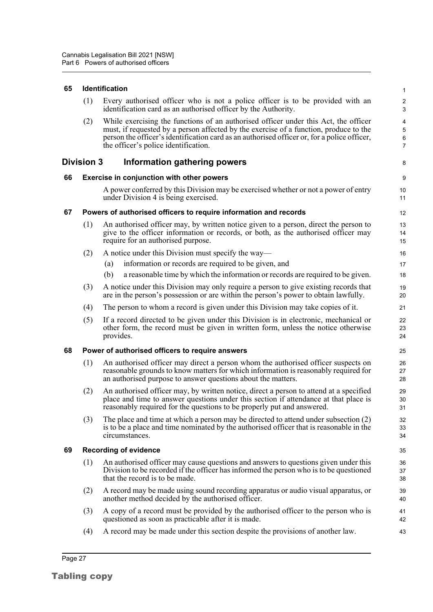#### <span id="page-33-0"></span>**65 Identification**

| (1) Every authorised officer who is not a police officer is to be provided with an<br>identification card as an authorised officer by the Authority. |
|------------------------------------------------------------------------------------------------------------------------------------------------------|
| While exercising the functions of an authorised officer under this Act, the officer                                                                  |

8

(2) While exercising the functions of an authorised officer under this Act, the officer must, if requested by a person affected by the exercise of a function, produce to the person the officer's identification card as an authorised officer or, for a police officer, the officer's police identification.

#### <span id="page-33-1"></span>**Division 3 Information gathering powers**

#### <span id="page-33-2"></span>**66 Exercise in conjunction with other powers**

A power conferred by this Division may be exercised whether or not a power of entry under Division 4 is being exercised.

#### <span id="page-33-3"></span>**67 Powers of authorised officers to require information and records**

- (1) An authorised officer may, by written notice given to a person, direct the person to give to the officer information or records, or both, as the authorised officer may require for an authorised purpose.
- (2) A notice under this Division must specify the way—
	- (a) information or records are required to be given, and
	- (b) a reasonable time by which the information or records are required to be given.
- (3) A notice under this Division may only require a person to give existing records that are in the person's possession or are within the person's power to obtain lawfully.
- (4) The person to whom a record is given under this Division may take copies of it.
- (5) If a record directed to be given under this Division is in electronic, mechanical or other form, the record must be given in written form, unless the notice otherwise provides.

#### <span id="page-33-4"></span>**68 Power of authorised officers to require answers**

- (1) An authorised officer may direct a person whom the authorised officer suspects on reasonable grounds to know matters for which information is reasonably required for an authorised purpose to answer questions about the matters.
- (2) An authorised officer may, by written notice, direct a person to attend at a specified place and time to answer questions under this section if attendance at that place is reasonably required for the questions to be properly put and answered.
- (3) The place and time at which a person may be directed to attend under subsection (2) is to be a place and time nominated by the authorised officer that is reasonable in the circumstances.

#### <span id="page-33-5"></span>**69 Recording of evidence**

- (1) An authorised officer may cause questions and answers to questions given under this Division to be recorded if the officer has informed the person who is to be questioned that the record is to be made.
- (2) A record may be made using sound recording apparatus or audio visual apparatus, or another method decided by the authorised officer.
- (3) A copy of a record must be provided by the authorised officer to the person who is questioned as soon as practicable after it is made.
- (4) A record may be made under this section despite the provisions of another law.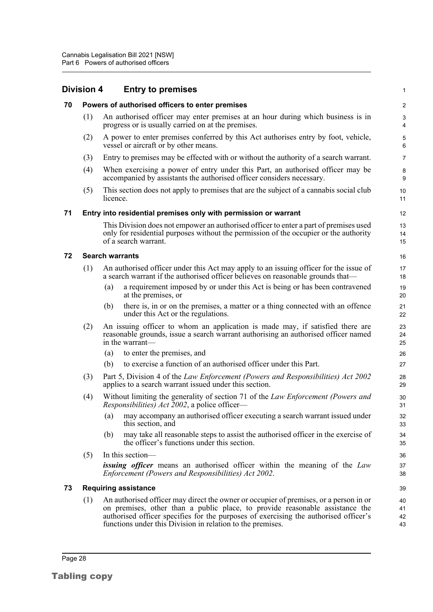<span id="page-34-4"></span><span id="page-34-3"></span><span id="page-34-2"></span><span id="page-34-1"></span><span id="page-34-0"></span>

|    | Division 4 | <b>Entry to premises</b>                                                                                                                                                                                                                                                                                                    | 1                       |
|----|------------|-----------------------------------------------------------------------------------------------------------------------------------------------------------------------------------------------------------------------------------------------------------------------------------------------------------------------------|-------------------------|
| 70 |            | Powers of authorised officers to enter premises                                                                                                                                                                                                                                                                             | $\overline{\mathbf{c}}$ |
|    | (1)        | An authorised officer may enter premises at an hour during which business is in<br>progress or is usually carried on at the premises.                                                                                                                                                                                       | 3<br>4                  |
|    | (2)        | A power to enter premises conferred by this Act authorises entry by foot, vehicle,<br>vessel or aircraft or by other means.                                                                                                                                                                                                 | 5<br>6                  |
|    | (3)        | Entry to premises may be effected with or without the authority of a search warrant.                                                                                                                                                                                                                                        | $\overline{7}$          |
|    | (4)        | When exercising a power of entry under this Part, an authorised officer may be<br>accompanied by assistants the authorised officer considers necessary.                                                                                                                                                                     | 8<br>9                  |
|    | (5)        | This section does not apply to premises that are the subject of a cannabis social club<br>licence.                                                                                                                                                                                                                          | 10<br>11                |
| 71 |            | Entry into residential premises only with permission or warrant                                                                                                                                                                                                                                                             | 12                      |
|    |            | This Division does not empower an authorised officer to enter a part of premises used<br>only for residential purposes without the permission of the occupier or the authority<br>of a search warrant.                                                                                                                      | 13<br>14<br>15          |
| 72 |            | <b>Search warrants</b>                                                                                                                                                                                                                                                                                                      | 16                      |
|    | (1)        | An authorised officer under this Act may apply to an issuing officer for the issue of<br>a search warrant if the authorised officer believes on reasonable grounds that—                                                                                                                                                    | 17<br>18                |
|    |            | a requirement imposed by or under this Act is being or has been contravened<br>(a)<br>at the premises, or                                                                                                                                                                                                                   | 19<br>20                |
|    |            | there is, in or on the premises, a matter or a thing connected with an offence<br>(b)<br>under this Act or the regulations.                                                                                                                                                                                                 | 21<br>22                |
|    | (2)        | An issuing officer to whom an application is made may, if satisfied there are<br>reasonable grounds, issue a search warrant authorising an authorised officer named<br>in the warrant-                                                                                                                                      | 23<br>24<br>25          |
|    |            | to enter the premises, and<br>(a)                                                                                                                                                                                                                                                                                           | 26                      |
|    |            | to exercise a function of an authorised officer under this Part.<br>(b)                                                                                                                                                                                                                                                     | 27                      |
|    | (3)        | Part 5, Division 4 of the Law Enforcement (Powers and Responsibilities) Act 2002<br>applies to a search warrant issued under this section.                                                                                                                                                                                  | 28<br>29                |
|    | (4)        | Without limiting the generality of section 71 of the Law Enforcement (Powers and<br><i>Responsibilities) Act 2002</i> , a police officer—                                                                                                                                                                                   | 30<br>31                |
|    |            | may accompany an authorised officer executing a search warrant issued under<br>$\left( a\right)$<br>this section, and                                                                                                                                                                                                       | 32<br>33                |
|    |            | may take all reasonable steps to assist the authorised officer in the exercise of<br>(b)<br>the officer's functions under this section.                                                                                                                                                                                     | 34<br>35                |
|    | (5)        | In this section-                                                                                                                                                                                                                                                                                                            | 36                      |
|    |            | <b>issuing officer</b> means an authorised officer within the meaning of the Law<br>Enforcement (Powers and Responsibilities) Act 2002.                                                                                                                                                                                     | 37<br>38                |
| 73 |            | <b>Requiring assistance</b>                                                                                                                                                                                                                                                                                                 | 39                      |
|    | (1)        | An authorised officer may direct the owner or occupier of premises, or a person in or<br>on premises, other than a public place, to provide reasonable assistance the<br>authorised officer specifies for the purposes of exercising the authorised officer's<br>functions under this Division in relation to the premises. | 40<br>41<br>42<br>43    |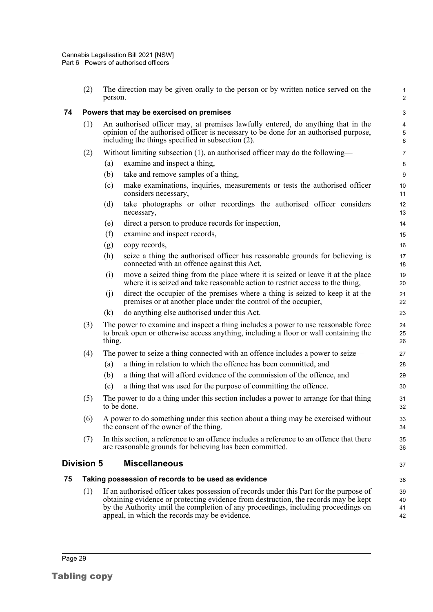<span id="page-35-2"></span><span id="page-35-1"></span><span id="page-35-0"></span>

|    | (2)        | The direction may be given orally to the person or by written notice served on the<br>person.                                                                                                                                                                                                                         | $\mathbf{1}$<br>$\overline{c}$                 |
|----|------------|-----------------------------------------------------------------------------------------------------------------------------------------------------------------------------------------------------------------------------------------------------------------------------------------------------------------------|------------------------------------------------|
| 74 |            | Powers that may be exercised on premises                                                                                                                                                                                                                                                                              | 3                                              |
|    | (1)        | An authorised officer may, at premises lawfully entered, do anything that in the<br>opinion of the authorised officer is necessary to be done for an authorised purpose,<br>including the things specified in subsection $(2)$ .                                                                                      | $\overline{\mathbf{4}}$<br>$\sqrt{5}$<br>$\,6$ |
|    | (2)        | Without limiting subsection $(1)$ , an authorised officer may do the following—                                                                                                                                                                                                                                       | $\overline{7}$                                 |
|    |            | examine and inspect a thing,<br>(a)                                                                                                                                                                                                                                                                                   | 8                                              |
|    |            | (b)<br>take and remove samples of a thing,                                                                                                                                                                                                                                                                            | 9                                              |
|    |            | make examinations, inquiries, measurements or tests the authorised officer<br>(c)<br>considers necessary,                                                                                                                                                                                                             | 10<br>11                                       |
|    |            | take photographs or other recordings the authorised officer considers<br>(d)<br>necessary,                                                                                                                                                                                                                            | 12<br>13                                       |
|    |            | direct a person to produce records for inspection,<br>(e)                                                                                                                                                                                                                                                             | 14                                             |
|    |            | (f)<br>examine and inspect records,                                                                                                                                                                                                                                                                                   | 15                                             |
|    |            | copy records,<br>(g)                                                                                                                                                                                                                                                                                                  | 16                                             |
|    |            | (h)<br>seize a thing the authorised officer has reasonable grounds for believing is<br>connected with an offence against this Act,                                                                                                                                                                                    | 17<br>18                                       |
|    |            | move a seized thing from the place where it is seized or leave it at the place<br>(i)<br>where it is seized and take reasonable action to restrict access to the thing,                                                                                                                                               | 19<br>20                                       |
|    |            | direct the occupier of the premises where a thing is seized to keep it at the<br>(j)<br>premises or at another place under the control of the occupier,                                                                                                                                                               | 21<br>22                                       |
|    |            | (k)<br>do anything else authorised under this Act.                                                                                                                                                                                                                                                                    | 23                                             |
|    | (3)        | The power to examine and inspect a thing includes a power to use reasonable force<br>to break open or otherwise access anything, including a floor or wall containing the<br>thing.                                                                                                                                   | 24<br>25<br>26                                 |
|    | (4)        | The power to seize a thing connected with an offence includes a power to seize—                                                                                                                                                                                                                                       | 27                                             |
|    |            | a thing in relation to which the offence has been committed, and<br>(a)                                                                                                                                                                                                                                               | 28                                             |
|    |            | a thing that will afford evidence of the commission of the offence, and<br>(b)                                                                                                                                                                                                                                        | 29                                             |
|    |            | a thing that was used for the purpose of committing the offence.<br>(c)                                                                                                                                                                                                                                               | 30                                             |
|    | (5)        | The power to do a thing under this section includes a power to arrange for that thing<br>to be done.                                                                                                                                                                                                                  | 31<br>32                                       |
|    | (6)        | A power to do something under this section about a thing may be exercised without<br>the consent of the owner of the thing.                                                                                                                                                                                           | 33<br>34                                       |
|    | (7)        | In this section, a reference to an offence includes a reference to an offence that there<br>are reasonable grounds for believing has been committed.                                                                                                                                                                  | 35<br>36                                       |
|    | Division 5 | <b>Miscellaneous</b>                                                                                                                                                                                                                                                                                                  | 37                                             |
| 75 |            | Taking possession of records to be used as evidence                                                                                                                                                                                                                                                                   | 38                                             |
|    | (1)        | If an authorised officer takes possession of records under this Part for the purpose of<br>obtaining evidence or protecting evidence from destruction, the records may be kept<br>by the Authority until the completion of any proceedings, including proceedings on<br>appeal, in which the records may be evidence. | 39<br>40<br>41<br>42                           |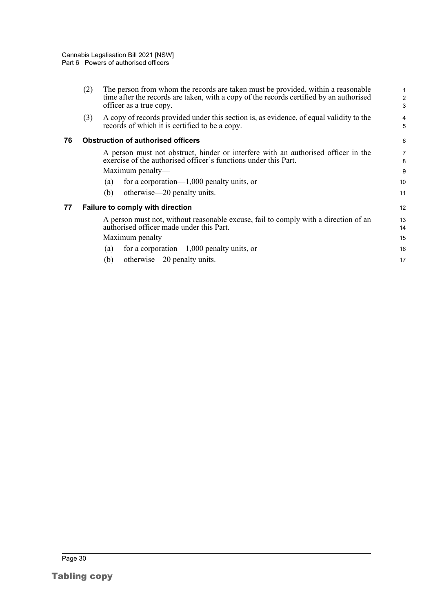<span id="page-36-1"></span><span id="page-36-0"></span>

| A copy of records provided under this section is, as evidence, of equal validity to the<br>(3)<br>records of which it is certified to be a copy.<br>76<br><b>Obstruction of authorised officers</b><br>A person must not obstruct, hinder or interfere with an authorised officer in the<br>exercise of the authorised officer's functions under this Part.<br>Maximum penalty—<br>for a corporation— $1,000$ penalty units, or<br>(a)<br>otherwise—20 penalty units.<br>(b)<br>77<br><b>Failure to comply with direction</b><br>A person must not, without reasonable excuse, fail to comply with a direction of an<br>authorised officer made under this Part.<br>Maximum penalty—<br>for a corporation— $1,000$ penalty units, or<br>(a)<br>(b) |  | (2) | The person from whom the records are taken must be provided, within a reasonable<br>time after the records are taken, with a copy of the records certified by an authorised<br>officer as a true copy. | 1<br>$\overline{2}$<br>3 |  |
|----------------------------------------------------------------------------------------------------------------------------------------------------------------------------------------------------------------------------------------------------------------------------------------------------------------------------------------------------------------------------------------------------------------------------------------------------------------------------------------------------------------------------------------------------------------------------------------------------------------------------------------------------------------------------------------------------------------------------------------------------|--|-----|--------------------------------------------------------------------------------------------------------------------------------------------------------------------------------------------------------|--------------------------|--|
|                                                                                                                                                                                                                                                                                                                                                                                                                                                                                                                                                                                                                                                                                                                                                    |  |     |                                                                                                                                                                                                        | 4<br>5                   |  |
|                                                                                                                                                                                                                                                                                                                                                                                                                                                                                                                                                                                                                                                                                                                                                    |  |     |                                                                                                                                                                                                        |                          |  |
|                                                                                                                                                                                                                                                                                                                                                                                                                                                                                                                                                                                                                                                                                                                                                    |  |     |                                                                                                                                                                                                        | 7<br>8<br>9              |  |
|                                                                                                                                                                                                                                                                                                                                                                                                                                                                                                                                                                                                                                                                                                                                                    |  |     |                                                                                                                                                                                                        | 10<br>11                 |  |
|                                                                                                                                                                                                                                                                                                                                                                                                                                                                                                                                                                                                                                                                                                                                                    |  |     |                                                                                                                                                                                                        |                          |  |
|                                                                                                                                                                                                                                                                                                                                                                                                                                                                                                                                                                                                                                                                                                                                                    |  |     |                                                                                                                                                                                                        | 13<br>14                 |  |
|                                                                                                                                                                                                                                                                                                                                                                                                                                                                                                                                                                                                                                                                                                                                                    |  |     |                                                                                                                                                                                                        | 15<br>16                 |  |
|                                                                                                                                                                                                                                                                                                                                                                                                                                                                                                                                                                                                                                                                                                                                                    |  |     | otherwise—20 penalty units.                                                                                                                                                                            | 17                       |  |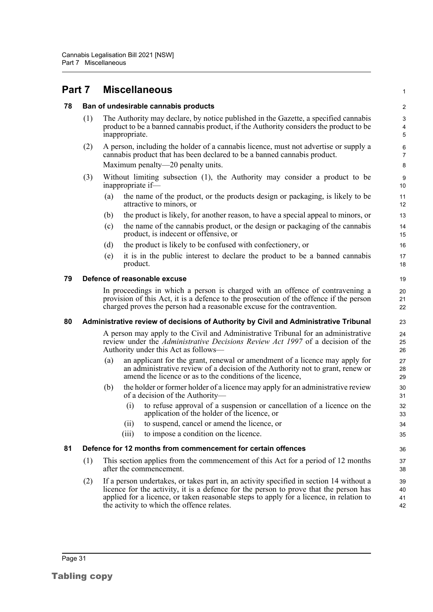<span id="page-37-4"></span><span id="page-37-3"></span><span id="page-37-2"></span><span id="page-37-1"></span><span id="page-37-0"></span>

| Part 7 |                                                                                                         | <b>Miscellaneous</b>                                                                                                                                                                                                                                                                                                      | $\mathbf{1}$         |  |  |  |
|--------|---------------------------------------------------------------------------------------------------------|---------------------------------------------------------------------------------------------------------------------------------------------------------------------------------------------------------------------------------------------------------------------------------------------------------------------------|----------------------|--|--|--|
| 78     | Ban of undesirable cannabis products                                                                    |                                                                                                                                                                                                                                                                                                                           |                      |  |  |  |
|        | (1)                                                                                                     | The Authority may declare, by notice published in the Gazette, a specified cannabis<br>product to be a banned cannabis product, if the Authority considers the product to be<br>inappropriate.                                                                                                                            | 3<br>4<br>5          |  |  |  |
|        | (2)                                                                                                     | A person, including the holder of a cannabis licence, must not advertise or supply a<br>cannabis product that has been declared to be a banned cannabis product.                                                                                                                                                          | 6<br>$\overline{7}$  |  |  |  |
|        |                                                                                                         | Maximum penalty—20 penalty units.                                                                                                                                                                                                                                                                                         | 8                    |  |  |  |
|        | (3)<br>Without limiting subsection (1), the Authority may consider a product to be<br>inappropriate if- |                                                                                                                                                                                                                                                                                                                           | 9<br>10              |  |  |  |
|        |                                                                                                         | the name of the product, or the products design or packaging, is likely to be<br>(a)<br>attractive to minors, or                                                                                                                                                                                                          | 11<br>12             |  |  |  |
|        |                                                                                                         | the product is likely, for another reason, to have a special appeal to minors, or<br>(b)                                                                                                                                                                                                                                  | 13                   |  |  |  |
|        |                                                                                                         | the name of the cannabis product, or the design or packaging of the cannabis<br>(c)<br>product, is indecent or offensive, or                                                                                                                                                                                              | 14<br>15             |  |  |  |
|        |                                                                                                         | (d)<br>the product is likely to be confused with confectionery, or                                                                                                                                                                                                                                                        | 16                   |  |  |  |
|        |                                                                                                         | it is in the public interest to declare the product to be a banned cannabis<br>(e)<br>product.                                                                                                                                                                                                                            | 17<br>18             |  |  |  |
| 79     | Defence of reasonable excuse                                                                            |                                                                                                                                                                                                                                                                                                                           |                      |  |  |  |
|        |                                                                                                         | In proceedings in which a person is charged with an offence of contravening a<br>provision of this Act, it is a defence to the prosecution of the offence if the person<br>charged proves the person had a reasonable excuse for the contravention.                                                                       | 20<br>21<br>22       |  |  |  |
| 80     |                                                                                                         | Administrative review of decisions of Authority by Civil and Administrative Tribunal                                                                                                                                                                                                                                      | 23                   |  |  |  |
|        |                                                                                                         | A person may apply to the Civil and Administrative Tribunal for an administrative<br>review under the <i>Administrative Decisions Review Act 1997</i> of a decision of the<br>Authority under this Act as follows-                                                                                                        |                      |  |  |  |
|        |                                                                                                         | an applicant for the grant, renewal or amendment of a licence may apply for<br>(a)<br>an administrative review of a decision of the Authority not to grant, renew or<br>amend the licence or as to the conditions of the licence,                                                                                         | 27<br>28<br>29       |  |  |  |
|        |                                                                                                         | the holder or former holder of a licence may apply for an administrative review<br>(b)<br>of a decision of the Authority—                                                                                                                                                                                                 | 30<br>31             |  |  |  |
|        |                                                                                                         | to refuse approval of a suspension or cancellation of a licence on the<br>(i)<br>application of the holder of the licence, or                                                                                                                                                                                             | 32<br>33             |  |  |  |
|        |                                                                                                         | to suspend, cancel or amend the licence, or<br>(ii)                                                                                                                                                                                                                                                                       | 34                   |  |  |  |
|        |                                                                                                         | to impose a condition on the licence.<br>(iii)                                                                                                                                                                                                                                                                            | 35                   |  |  |  |
| 81     | Defence for 12 months from commencement for certain offences                                            |                                                                                                                                                                                                                                                                                                                           |                      |  |  |  |
|        | (1)                                                                                                     | This section applies from the commencement of this Act for a period of 12 months<br>after the commencement.                                                                                                                                                                                                               |                      |  |  |  |
|        | (2)                                                                                                     | If a person undertakes, or takes part in, an activity specified in section 14 without a<br>licence for the activity, it is a defence for the person to prove that the person has<br>applied for a licence, or taken reasonable steps to apply for a licence, in relation to<br>the activity to which the offence relates. | 39<br>40<br>41<br>42 |  |  |  |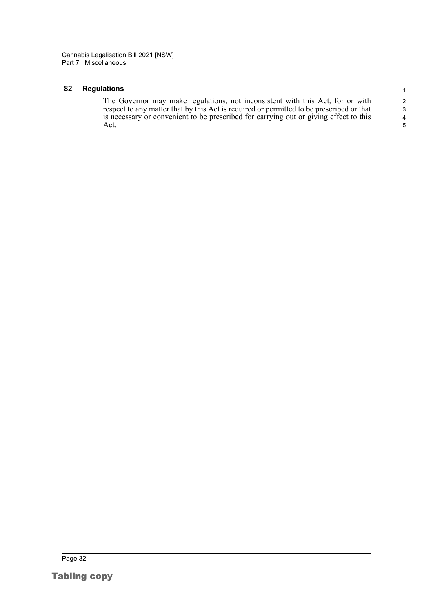#### <span id="page-38-0"></span>**82 Regulations**

The Governor may make regulations, not inconsistent with this Act, for or with respect to any matter that by this Act is required or permitted to be prescribed or that is necessary or convenient to be prescribed for carrying out or giving effect to this Act.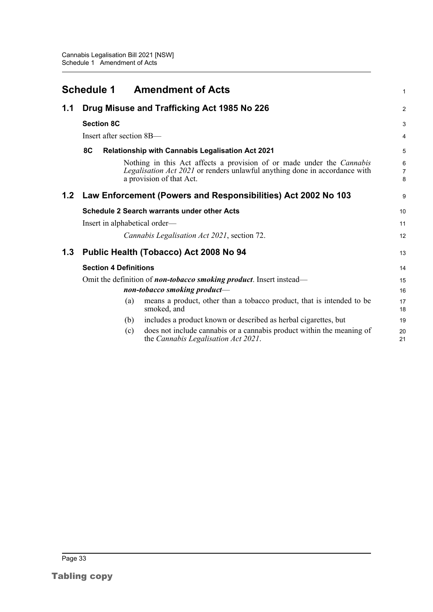<span id="page-39-0"></span>

|     |                                                                             |                              | <b>Schedule 1 Amendment of Acts</b>                                                                                                                                             | 1           |  |
|-----|-----------------------------------------------------------------------------|------------------------------|---------------------------------------------------------------------------------------------------------------------------------------------------------------------------------|-------------|--|
| 1.1 | Drug Misuse and Trafficking Act 1985 No 226                                 |                              |                                                                                                                                                                                 |             |  |
|     | <b>Section 8C</b>                                                           |                              |                                                                                                                                                                                 | 3           |  |
|     |                                                                             | Insert after section 8B-     |                                                                                                                                                                                 | 4           |  |
|     | 8C                                                                          |                              | <b>Relationship with Cannabis Legalisation Act 2021</b>                                                                                                                         | 5           |  |
|     |                                                                             |                              | Nothing in this Act affects a provision of or made under the Cannabis<br>Legalisation Act 2021 or renders unlawful anything done in accordance with<br>a provision of that Act. | 6<br>7<br>8 |  |
| 1.2 |                                                                             |                              | Law Enforcement (Powers and Responsibilities) Act 2002 No 103                                                                                                                   | 9           |  |
|     |                                                                             |                              | <b>Schedule 2 Search warrants under other Acts</b>                                                                                                                              | 10          |  |
|     |                                                                             |                              | Insert in alphabetical order-                                                                                                                                                   | 11          |  |
|     |                                                                             |                              | Cannabis Legalisation Act 2021, section 72.                                                                                                                                     | 12          |  |
| 1.3 |                                                                             |                              | Public Health (Tobacco) Act 2008 No 94                                                                                                                                          | 13          |  |
|     |                                                                             | <b>Section 4 Definitions</b> |                                                                                                                                                                                 | 14          |  |
|     | Omit the definition of <b>non-tobacco smoking product</b> . Insert instead— |                              |                                                                                                                                                                                 |             |  |
|     |                                                                             |                              | non-tobacco smoking product-                                                                                                                                                    | 16          |  |
|     |                                                                             | (a)                          | means a product, other than a tobacco product, that is intended to be<br>smoked, and                                                                                            | 17<br>18    |  |
|     |                                                                             | (b)                          | includes a product known or described as herbal cigarettes, but                                                                                                                 | 19          |  |
|     |                                                                             | (c)                          | does not include cannabis or a cannabis product within the meaning of<br>the Cannabis Legalisation Act 2021.                                                                    | 20<br>21    |  |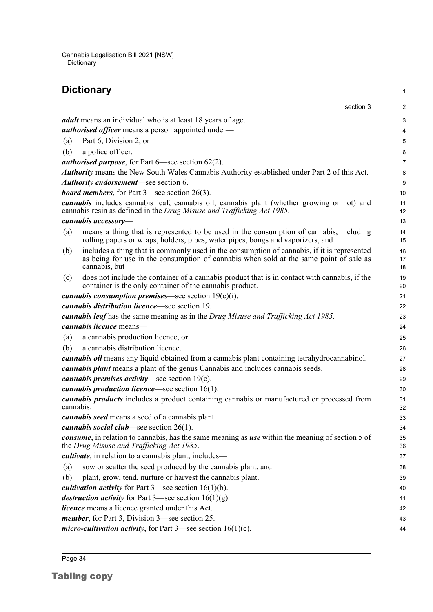#### <span id="page-40-0"></span>**Dictionary** section 3 *adult* means an individual who is at least 18 years of age. *authorised officer* means a person appointed under— (a) Part 6, Division 2, or (b) a police officer. *authorised purpose*, for Part 6—see section 62(2). *Authority* means the New South Wales Cannabis Authority established under Part 2 of this Act. *Authority endorsement*—see section 6. *board members*, for Part 3—see section 26(3). *cannabis* includes cannabis leaf, cannabis oil, cannabis plant (whether growing or not) and cannabis resin as defined in the *Drug Misuse and Trafficking Act 1985*. *cannabis accessory*— (a) means a thing that is represented to be used in the consumption of cannabis, including rolling papers or wraps, holders, pipes, water pipes, bongs and vaporizers, and (b) includes a thing that is commonly used in the consumption of cannabis, if it is represented as being for use in the consumption of cannabis when sold at the same point of sale as cannabis, but (c) does not include the container of a cannabis product that is in contact with cannabis, if the container is the only container of the cannabis product. *cannabis consumption premises*—see section 19(c)(i). *cannabis distribution licence*—see section 19. *cannabis leaf* has the same meaning as in the *Drug Misuse and Trafficking Act 1985*. *cannabis licence* means— (a) a cannabis production licence, or (b) a cannabis distribution licence. *cannabis oil* means any liquid obtained from a cannabis plant containing tetrahydrocannabinol. *cannabis plant* means a plant of the genus Cannabis and includes cannabis seeds. *cannabis premises activity*—see section 19(c). *cannabis production licence*—see section 16(1). *cannabis products* includes a product containing cannabis or manufactured or processed from cannabis. *cannabis seed* means a seed of a cannabis plant. *cannabis social club*—see section 26(1). *consume*, in relation to cannabis, has the same meaning as *use* within the meaning of section 5 of the *Drug Misuse and Trafficking Act 1985*. *cultivate*, in relation to a cannabis plant, includes— (a) sow or scatter the seed produced by the cannabis plant, and (b) plant, grow, tend, nurture or harvest the cannabis plant. *cultivation activity* for Part 3—see section 16(1)(b). *destruction activity* for Part 3—see section 16(1)(g). *licence* means a licence granted under this Act. *member*, for Part 3, Division 3—see section 25. *micro-cultivation activity*, for Part 3—see section 16(1)(c). 1  $\overline{2}$ 3 4 5 6 7 8 9 10 11 12 13 14 15 16 17 18 19 20 21  $22$ 23 24 25 26 27 28 29 30 31 32 33 34 35 36 37 38 39 40 41 42 43 44